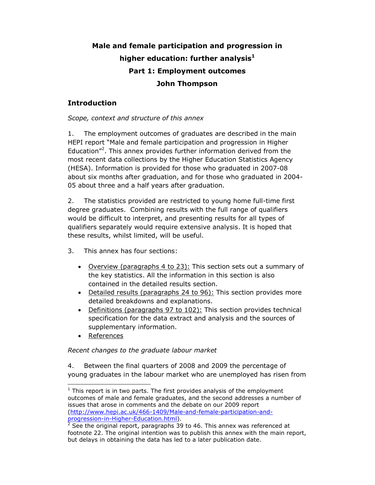# **Male and female participation and progression in higher education: further analysis<sup>1</sup> Part 1: Employment outcomes John Thompson**

# **Introduction**

## *Scope, context and structure of this annex*

1. The employment outcomes of graduates are described in the main HEPI report "Male and female participation and progression in Higher Education"<sup>2</sup>. This annex provides further information derived from the most recent data collections by the Higher Education Statistics Agency (HESA). Information is provided for those who graduated in 2007-08 about six months after graduation, and for those who graduated in 2004- 05 about three and a half years after graduation.

2. The statistics provided are restricted to young home full-time first degree graduates. Combining results with the full range of qualifiers would be difficult to interpret, and presenting results for all types of qualifiers separately would require extensive analysis. It is hoped that these results, whilst limited, will be useful.

- 3. This annex has four sections:
	- Overview (paragraphs 4 to 23): This section sets out a summary of the key statistics. All the information in this section is also contained in the detailed results section.
	- Detailed results (paragraphs 24 to 96): This section provides more detailed breakdowns and explanations.
	- Definitions (paragraphs 97 to 102): This section provides technical specification for the data extract and analysis and the sources of supplementary information.
	- References

l

# *Recent changes to the graduate labour market*

4. Between the final quarters of 2008 and 2009 the percentage of young graduates in the labour market who are unemployed has risen from

 $1$  This report is in two parts. The first provides analysis of the employment outcomes of male and female graduates, and the second addresses a number of issues that arose in comments and the debate on our 2009 report (http://www.hepi.ac.uk/466-1409/Male-and-female-participation-and-

<sup>&</sup>lt;u>progression-in-Higher-Education.html</u>).<br><sup>2</sup> See the original report, paragraphs 39 to 46. This annex was referenced at footnote 22. The original intention was to publish this annex with the main report, but delays in obtaining the data has led to a later publication date.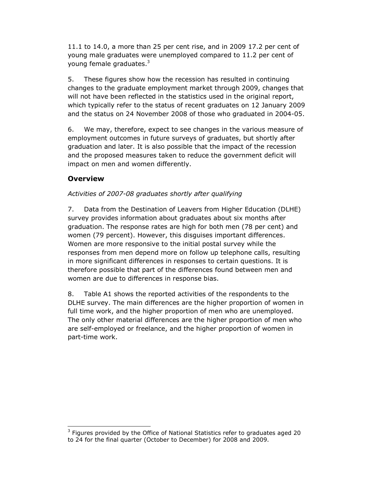11.1 to 14.0, a more than 25 per cent rise, and in 2009 17.2 per cent of young male graduates were unemployed compared to 11.2 per cent of young female graduates.<sup>3</sup>

5. These figures show how the recession has resulted in continuing changes to the graduate employment market through 2009, changes that will not have been reflected in the statistics used in the original report, which typically refer to the status of recent graduates on 12 January 2009 and the status on 24 November 2008 of those who graduated in 2004-05.

6. We may, therefore, expect to see changes in the various measure of employment outcomes in future surveys of graduates, but shortly after graduation and later. It is also possible that the impact of the recession and the proposed measures taken to reduce the government deficit will impact on men and women differently.

# **Overview**

 $\overline{a}$ 

# *Activities of 2007-08 graduates shortly after qualifying*

7. Data from the Destination of Leavers from Higher Education (DLHE) survey provides information about graduates about six months after graduation. The response rates are high for both men (78 per cent) and women (79 percent). However, this disguises important differences. Women are more responsive to the initial postal survey while the responses from men depend more on follow up telephone calls, resulting in more significant differences in responses to certain questions. It is therefore possible that part of the differences found between men and women are due to differences in response bias.

8. Table A1 shows the reported activities of the respondents to the DLHE survey. The main differences are the higher proportion of women in full time work, and the higher proportion of men who are unemployed. The only other material differences are the higher proportion of men who are self-employed or freelance, and the higher proportion of women in part-time work.

 $3$  Figures provided by the Office of National Statistics refer to graduates aged 20 to 24 for the final quarter (October to December) for 2008 and 2009.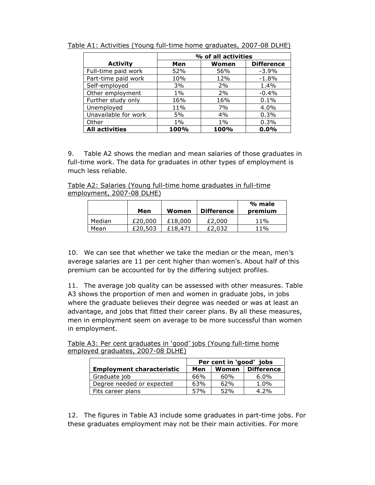|                       | % of all activities               |       |         |  |  |
|-----------------------|-----------------------------------|-------|---------|--|--|
| <b>Activity</b>       | <b>Difference</b><br>Women<br>Men |       |         |  |  |
| Full-time paid work   | 52%                               | 56%   | $-3.9%$ |  |  |
| Part-time paid work   | 10%                               | 12%   | $-1.8%$ |  |  |
| Self-employed         | 3%                                | 2%    | $1.4\%$ |  |  |
| Other employment      | $1\%$                             | 2%    | $-0.4%$ |  |  |
| Further study only    | 16%                               | 16%   | 0.1%    |  |  |
| Unemployed            | 11%                               | 7%    | 4.0%    |  |  |
| Unavailable for work  | 5%                                | 4%    | 0.3%    |  |  |
| Other                 | $1\%$                             | $1\%$ | 0.3%    |  |  |
| <b>All activities</b> | 100%                              | 100%  | $0.0\%$ |  |  |

Table A1: Activities (Young full-time home graduates, 2007-08 DLHE)

9. Table A2 shows the median and mean salaries of those graduates in full-time work. The data for graduates in other types of employment is much less reliable.

Table A2: Salaries (Young full-time home graduates in full-time employment, 2007-08 DLHE)

|        | Men     | Women   | Difference | % male<br>premium |
|--------|---------|---------|------------|-------------------|
| Median | £20,000 | £18,000 | £2,000     | 11%               |
| Mean   | £20,503 | £18,471 | £2,032     | 11%               |

10. We can see that whether we take the median or the mean, men's average salaries are 11 per cent higher than women's. About half of this premium can be accounted for by the differing subject profiles.

11. The average job quality can be assessed with other measures. Table A3 shows the proportion of men and women in graduate jobs, in jobs where the graduate believes their degree was needed or was at least an advantage, and jobs that fitted their career plans. By all these measures, men in employment seem on average to be more successful than women in employment.

|  | Table A3: Per cent graduates in 'good' jobs (Young full-time home |  |  |  |
|--|-------------------------------------------------------------------|--|--|--|
|  | employed graduates, 2007-08 DLHE)                                 |  |  |  |

|                                  | Per cent in 'good' jobs |       |                   |  |
|----------------------------------|-------------------------|-------|-------------------|--|
| <b>Employment characteristic</b> | Men                     | Women | <b>Difference</b> |  |
| Graduate job                     | 66%                     | 60%   | $6.0\%$           |  |
| Degree needed or expected        | 63%                     | 62%   | $1.0\%$           |  |
| Fits career plans                | 57%                     | 52%   | 4.2%              |  |

12. The figures in Table A3 include some graduates in part-time jobs. For these graduates employment may not be their main activities. For more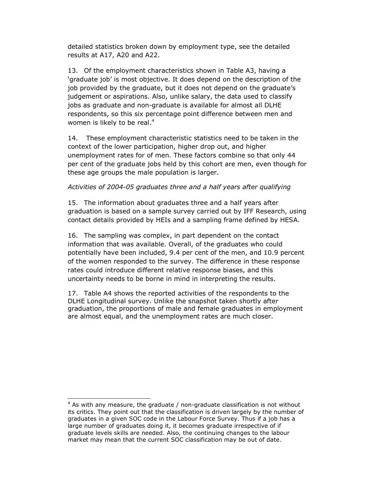detailed statistics broken down by employment type, see the detailed results at A17, A20 and A22.

13. Of the employment characteristics shown in Table A3, having a 'graduate job' is most objective. It does depend on the description of the job provided by the graduate, but it does not depend on the graduate's judgement or aspirations. Also, unlike salary, the data used to classify jobs as graduate and non-graduate is available for almost all DLHE respondents, so this six percentage point difference between men and women is likely to be real.<sup>4</sup>

14. These employment characteristic statistics need to be taken in the context of the lower participation, higher drop out, and higher unemployment rates for of men. These factors combine so that only 44 per cent of the graduate jobs held by this cohort are men, even though for these age groups the male population is larger.

#### *Activities of 2004-05 graduates three and a half years after qualifying*

15. The information about graduates three and a half years after graduation is based on a sample survey carried out by IFF Research, using contact details provided by HEIs and a sampling frame defined by HESA.

16. The sampling was complex, in part dependent on the contact information that was available. Overall, of the graduates who could potentially have been included, 9.4 per cent of the men, and 10.9 percent of the women responded to the survey. The difference in these response rates could introduce different relative response biases, and this uncertainty needs to be borne in mind in interpreting the results.

17. Table A4 shows the reported activities of the respondents to the DLHE Longitudinal survey. Unlike the snapshot taken shortly after graduation, the proportions of male and female graduates in employment are almost equal, and the unemployment rates are much closer.

l

 $4$  As with any measure, the graduate / non-graduate classification is not without its critics. They point out that the classification is driven largely by the number of graduates in a given SOC code in the Labour Force Survey. Thus if a job has a large number of graduates doing it, it becomes graduate irrespective of if graduate levels skills are needed. Also, the continuing changes to the labour market may mean that the current SOC classification may be out of date.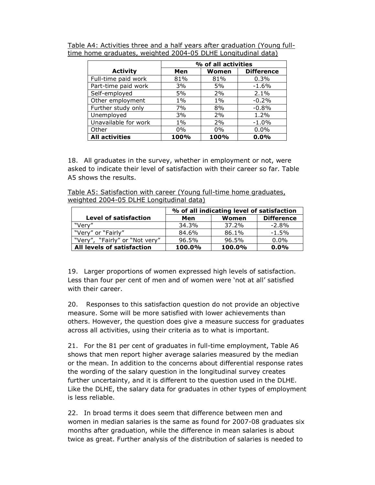|                       | % of all activities |       |                   |  |  |
|-----------------------|---------------------|-------|-------------------|--|--|
| <b>Activity</b>       | Men                 | Women | <b>Difference</b> |  |  |
| Full-time paid work   | 81%                 | 81%   | 0.3%              |  |  |
| Part-time paid work   | 3%                  | 5%    | $-1.6%$           |  |  |
| Self-employed         | 5%                  | 2%    | 2.1%              |  |  |
| Other employment      | $1\%$               | $1\%$ | $-0.2%$           |  |  |
| Further study only    | 7%                  | 8%    | $-0.8%$           |  |  |
| Unemployed            | 3%                  | 2%    | 1.2%              |  |  |
| Unavailable for work  | $1\%$               | 2%    | $-1.0%$           |  |  |
| Other                 | $0\%$               | $0\%$ | $0.0\%$           |  |  |
| <b>All activities</b> | 100%                | 100%  | $0.0\%$           |  |  |

Table A4: Activities three and a half years after graduation (Young fulltime home graduates, weighted 2004-05 DLHE Longitudinal data)

18. All graduates in the survey, whether in employment or not, were asked to indicate their level of satisfaction with their career so far. Table A5 shows the results.

Table A5: Satisfaction with career (Young full-time home graduates, weighted 2004-05 DLHE Longitudinal data)

|                                | % of all indicating level of satisfaction |        |                   |  |  |  |
|--------------------------------|-------------------------------------------|--------|-------------------|--|--|--|
| <b>Level of satisfaction</b>   | Men                                       | Women  | <b>Difference</b> |  |  |  |
| "Verv"                         | 34.3%                                     | 37.2%  | $-2.8\%$          |  |  |  |
| "Very" or "Fairly"             | 84.6%                                     | 86.1%  | $-1.5\%$          |  |  |  |
| "Very", "Fairly" or "Not very" | 96.5%                                     | 96.5%  | $0.0\%$           |  |  |  |
| All levels of satisfaction     | 100.0%                                    | 100.0% | $0.0\%$           |  |  |  |

19. Larger proportions of women expressed high levels of satisfaction. Less than four per cent of men and of women were 'not at all' satisfied with their career.

20. Responses to this satisfaction question do not provide an objective measure. Some will be more satisfied with lower achievements than others. However, the question does give a measure success for graduates across all activities, using their criteria as to what is important.

21. For the 81 per cent of graduates in full-time employment, Table A6 shows that men report higher average salaries measured by the median or the mean. In addition to the concerns about differential response rates the wording of the salary question in the longitudinal survey creates further uncertainty, and it is different to the question used in the DLHE. Like the DLHE, the salary data for graduates in other types of employment is less reliable.

22. In broad terms it does seem that difference between men and women in median salaries is the same as found for 2007-08 graduates six months after graduation, while the difference in mean salaries is about twice as great. Further analysis of the distribution of salaries is needed to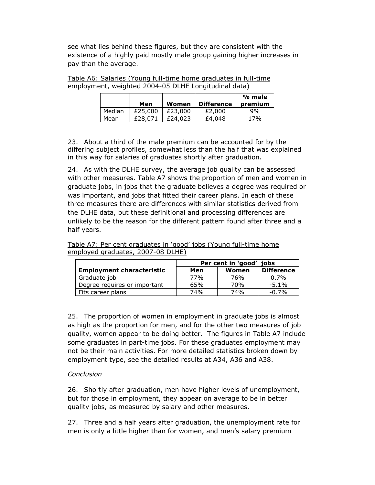see what lies behind these figures, but they are consistent with the existence of a highly paid mostly male group gaining higher increases in pay than the average.

| Table A6: Salaries (Young full-time home graduates in full-time |  |
|-----------------------------------------------------------------|--|
| employment, weighted 2004-05 DLHE Longitudinal data)            |  |

|        | Men     | Women   | <b>Difference</b> | % male<br>premium |
|--------|---------|---------|-------------------|-------------------|
| Median | £25,000 | £23,000 | £2,000            | 9%                |
| Mean   | £28.071 | £24,023 | £4,048            | 17%               |

23. About a third of the male premium can be accounted for by the differing subject profiles, somewhat less than the half that was explained in this way for salaries of graduates shortly after graduation.

24. As with the DLHE survey, the average job quality can be assessed with other measures. Table A7 shows the proportion of men and women in graduate jobs, in jobs that the graduate believes a degree was required or was important, and jobs that fitted their career plans. In each of these three measures there are differences with similar statistics derived from the DLHE data, but these definitional and processing differences are unlikely to be the reason for the different pattern found after three and a half years.

| Table A7: Per cent graduates in 'good' jobs (Young full-time home |  |  |
|-------------------------------------------------------------------|--|--|
| employed graduates, 2007-08 DLHE)                                 |  |  |

|                                  | Per cent in 'good'<br>iobs |       |                   |  |
|----------------------------------|----------------------------|-------|-------------------|--|
| <b>Employment characteristic</b> | Men                        | Women | <b>Difference</b> |  |
| Graduate job                     | 77%                        | 76%   | 0.7%              |  |
| Degree requires or important     | 65%                        | 70%   | $-5.1\%$          |  |
| Fits career plans                | 74%                        | 74%   | $-0.7%$           |  |

25. The proportion of women in employment in graduate jobs is almost as high as the proportion for men, and for the other two measures of job quality, women appear to be doing better. The figures in Table A7 include some graduates in part-time jobs. For these graduates employment may not be their main activities. For more detailed statistics broken down by employment type, see the detailed results at A34, A36 and A38.

### *Conclusion*

26. Shortly after graduation, men have higher levels of unemployment, but for those in employment, they appear on average to be in better quality jobs, as measured by salary and other measures.

27. Three and a half years after graduation, the unemployment rate for men is only a little higher than for women, and men's salary premium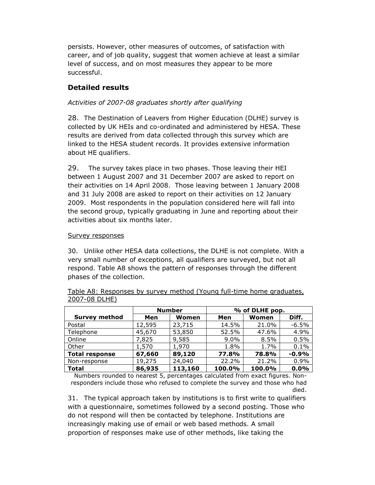persists. However, other measures of outcomes, of satisfaction with career, and of job quality, suggest that women achieve at least a similar level of success, and on most measures they appear to be more successful.

# **Detailed results**

## *Activities of 2007-08 graduates shortly after qualifying*

28. The Destination of Leavers from Higher Education (DLHE) survey is collected by UK HEIs and co-ordinated and administered by HESA. These results are derived from data collected through this survey which are linked to the HESA student records. It provides extensive information about HE qualifiers.

29. The survey takes place in two phases. Those leaving their HEI between 1 August 2007 and 31 December 2007 are asked to report on their activities on 14 April 2008. Those leaving between 1 January 2008 and 31 July 2008 are asked to report on their activities on 12 January 2009. Most respondents in the population considered here will fall into the second group, typically graduating in June and reporting about their activities about six months later.

#### Survey responses

30. Unlike other HESA data collections, the DLHE is not complete. With a very small number of exceptions, all qualifiers are surveyed, but not all respond. Table A8 shows the pattern of responses through the different phases of the collection.

|                       | <b>Number</b> |         | % of DLHE pop. |        |         |
|-----------------------|---------------|---------|----------------|--------|---------|
| <b>Survey method</b>  | Men           | Women   | Men            | Women  | Diff.   |
| Postal                | 12,595        | 23,715  | 14.5%          | 21.0%  | $-6.5%$ |
| Telephone             | 45,670        | 53,850  | 52.5%          | 47.6%  | 4.9%    |
| Online                | 7,825         | 9,585   | $9.0\%$        | 8.5%   | 0.5%    |
| Other                 | 1,570         | 1,970   | 1.8%           | 1.7%   | 0.1%    |
| <b>Total response</b> | 67,660        | 89,120  | 77.8%          | 78.8%  | $-0.9%$ |
| Non-response          | 19,275        | 24,040  | 22.2%          | 21.2%  | 0.9%    |
| <b>Total</b>          | 86,935        | 113,160 | 100.0%         | 100.0% | 0.0%    |

Table A8: Responses by survey method (Young full-time home graduates, 2007-08 DLHE)

Numbers rounded to nearest 5, percentages calculated from exact figures. Nonresponders include those who refused to complete the survey and those who had died.

31. The typical approach taken by institutions is to first write to qualifiers with a questionnaire, sometimes followed by a second posting. Those who do not respond will then be contacted by telephone. Institutions are increasingly making use of email or web based methods. A small proportion of responses make use of other methods, like taking the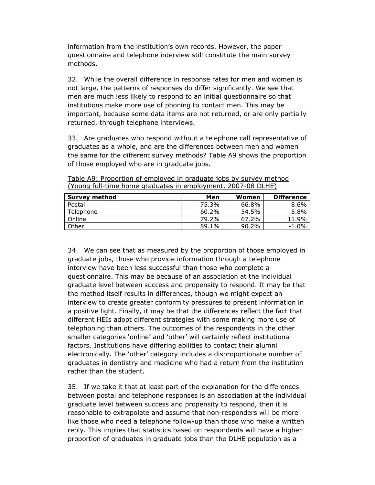information from the institution's own records. However, the paper questionnaire and telephone interview still constitute the main survey methods.

32. While the overall difference in response rates for men and women is not large, the patterns of responses do differ significantly. We see that men are much less likely to respond to an initial questionnaire so that institutions make more use of phoning to contact men. This may be important, because some data items are not returned, or are only partially returned, through telephone interviews.

33. Are graduates who respond without a telephone call representative of graduates as a whole, and are the differences between men and women the same for the different survey methods? Table A9 shows the proportion of those employed who are in graduate jobs.

| Survey method | Men   | Women    | <b>Difference</b> |
|---------------|-------|----------|-------------------|
| Postal        | 75.3% | 66.8%    | 8.6%              |
| Telephone     | 60.2% | 54.5%    | 5.8%              |
| Online        | 79.2% | 67.2%    | 11.9%             |
| Other         | 89.1% | $90.2\%$ | $-1.0\%$          |

Table A9: Proportion of employed in graduate jobs by survey method (Young full-time home graduates in employment, 2007-08 DLHE)

34. We can see that as measured by the proportion of those employed in graduate jobs, those who provide information through a telephone interview have been less successful than those who complete a questionnaire. This may be because of an association at the individual graduate level between success and propensity to respond. It may be that the method itself results in differences, though we might expect an interview to create greater conformity pressures to present information in a positive light. Finally, it may be that the differences reflect the fact that different HEIs adopt different strategies with some making more use of telephoning than others. The outcomes of the respondents in the other smaller categories 'online' and 'other' will certainly reflect institutional factors. Institutions have differing abilities to contact their alumni electronically. The 'other' category includes a disproportionate number of graduates in dentistry and medicine who had a return from the institution rather than the student.

35. If we take it that at least part of the explanation for the differences between postal and telephone responses is an association at the individual graduate level between success and propensity to respond, then it is reasonable to extrapolate and assume that non-responders will be more like those who need a telephone follow-up than those who make a written reply. This implies that statistics based on respondents will have a higher proportion of graduates in graduate jobs than the DLHE population as a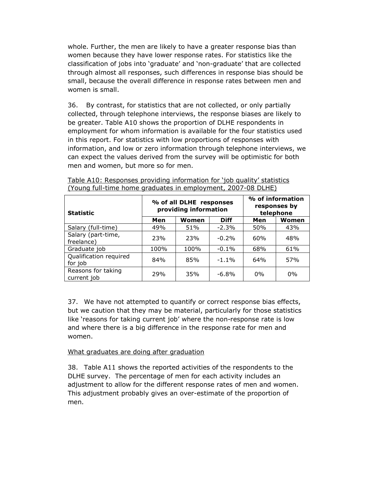whole. Further, the men are likely to have a greater response bias than women because they have lower response rates. For statistics like the classification of jobs into 'graduate' and 'non-graduate' that are collected through almost all responses, such differences in response bias should be small, because the overall difference in response rates between men and women is small.

36. By contrast, for statistics that are not collected, or only partially collected, through telephone interviews, the response biases are likely to be greater. Table A10 shows the proportion of DLHE respondents in employment for whom information is available for the four statistics used in this report. For statistics with low proportions of responses with information, and low or zero information through telephone interviews, we can expect the values derived from the survey will be optimistic for both men and women, but more so for men.

| <b>Statistic</b>                  |              | % of all DLHE responses<br>providing information | % of information<br>responses by<br>telephone |       |       |
|-----------------------------------|--------------|--------------------------------------------------|-----------------------------------------------|-------|-------|
|                                   | Men<br>Women |                                                  | <b>Diff</b>                                   | Men   | Women |
| Salary (full-time)                | 49%          | 51%                                              | $-2.3%$                                       | 50%   | 43%   |
| Salary (part-time,<br>freelance)  | 23%          | 23%                                              | $-0.2%$                                       | 60%   | 48%   |
| Graduate job                      | 100%         | 100%                                             | $-0.1\%$                                      | 68%   | 61%   |
| Qualification required<br>for job | 84%          | 85%                                              | $-1.1%$                                       | 64%   | 57%   |
| Reasons for taking<br>current job | 29%          | 35%                                              | $-6.8\%$                                      | $0\%$ | $0\%$ |

| Table A10: Responses providing information for 'job quality' statistics |  |  |  |
|-------------------------------------------------------------------------|--|--|--|
| (Young full-time home graduates in employment, 2007-08 DLHE)            |  |  |  |

37. We have not attempted to quantify or correct response bias effects, but we caution that they may be material, particularly for those statistics like 'reasons for taking current job' where the non-response rate is low and where there is a big difference in the response rate for men and women.

### What graduates are doing after graduation

38. Table A11 shows the reported activities of the respondents to the DLHE survey. The percentage of men for each activity includes an adjustment to allow for the different response rates of men and women. This adjustment probably gives an over-estimate of the proportion of men.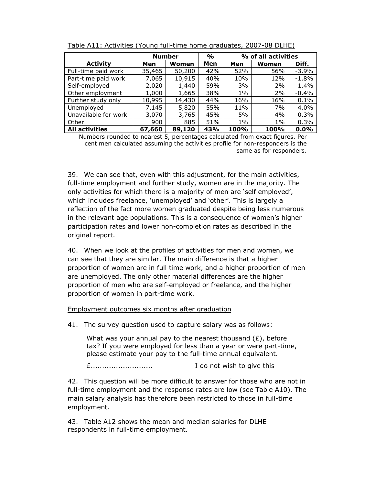|                       | <b>Number</b> |        | $\frac{1}{\alpha}$ | % of all activities |       |          |
|-----------------------|---------------|--------|--------------------|---------------------|-------|----------|
| <b>Activity</b>       | Men           | Women  | Men                | Men                 | Women | Diff.    |
| Full-time paid work   | 35,465        | 50,200 | 42%                | 52%                 | 56%   | $-3.9\%$ |
| Part-time paid work   | 7,065         | 10,915 | 40%                | 10%                 | 12%   | $-1.8%$  |
| Self-employed         | 2,020         | 1,440  | 59%                | 3%                  | 2%    | 1.4%     |
| Other employment      | 1,000         | 1,665  | 38%                | $1\%$               | 2%    | $-0.4\%$ |
| Further study only    | 10,995        | 14,430 | 44%                | 16%                 | 16%   | 0.1%     |
| Unemployed            | 7,145         | 5,820  | 55%                | 11%                 | 7%    | 4.0%     |
| Unavailable for work  | 3,070         | 3,765  | 45%                | 5%                  | 4%    | 0.3%     |
| Other                 | 900           | 885    | 51%                | $1\%$               | $1\%$ | 0.3%     |
| <b>All activities</b> | 67,660        | 89,120 | 43%                | 100%                | 100%  | 0.0%     |

Table A11: Activities (Young full-time home graduates, 2007-08 DLHE)

Numbers rounded to nearest 5, percentages calculated from exact figures. Per cent men calculated assuming the activities profile for non-responders is the same as for responders.

39. We can see that, even with this adjustment, for the main activities, full-time employment and further study, women are in the majority. The only activities for which there is a majority of men are 'self employed', which includes freelance, 'unemployed' and 'other'. This is largely a reflection of the fact more women graduated despite being less numerous in the relevant age populations. This is a consequence of women's higher participation rates and lower non-completion rates as described in the original report.

40. When we look at the profiles of activities for men and women, we can see that they are similar. The main difference is that a higher proportion of women are in full time work, and a higher proportion of men are unemployed. The only other material differences are the higher proportion of men who are self-employed or freelance, and the higher proportion of women in part-time work.

Employment outcomes six months after graduation

41. The survey question used to capture salary was as follows:

What was your annual pay to the nearest thousand  $(E)$ , before tax? If you were employed for less than a year or were part-time, please estimate your pay to the full-time annual equivalent.

£........................... I do not wish to give this

42. This question will be more difficult to answer for those who are not in full-time employment and the response rates are low (see Table A10). The main salary analysis has therefore been restricted to those in full-time employment.

43. Table A12 shows the mean and median salaries for DLHE respondents in full-time employment.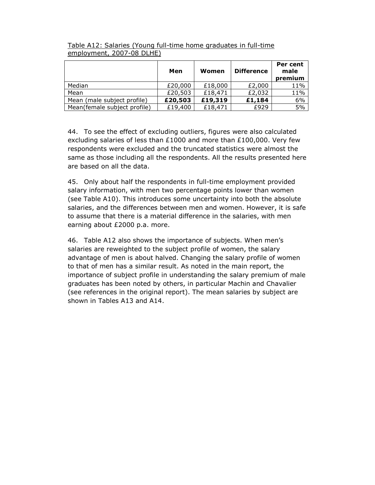|                              | Men     | Women   | <b>Difference</b> | Per cent<br>male<br>premium |
|------------------------------|---------|---------|-------------------|-----------------------------|
| Median                       | £20,000 | £18,000 | £2,000            | 11%                         |
| Mean                         | £20,503 | £18,471 | £2,032            | 11%                         |
| Mean (male subject profile)  | £20,503 | £19,319 | £1,184            | 6%                          |
| Mean(female subject profile) | £19,400 | £18,471 | £929              | 5%                          |

Table A12: Salaries (Young full-time home graduates in full-time employment, 2007-08 DLHE)

44. To see the effect of excluding outliers, figures were also calculated excluding salaries of less than £1000 and more than £100,000. Very few respondents were excluded and the truncated statistics were almost the same as those including all the respondents. All the results presented here are based on all the data.

45. Only about half the respondents in full-time employment provided salary information, with men two percentage points lower than women (see Table A10). This introduces some uncertainty into both the absolute salaries, and the differences between men and women. However, it is safe to assume that there is a material difference in the salaries, with men earning about £2000 p.a. more.

46. Table A12 also shows the importance of subjects. When men's salaries are reweighted to the subject profile of women, the salary advantage of men is about halved. Changing the salary profile of women to that of men has a similar result. As noted in the main report, the importance of subject profile in understanding the salary premium of male graduates has been noted by others, in particular Machin and Chavalier (see references in the original report). The mean salaries by subject are shown in Tables A13 and A14.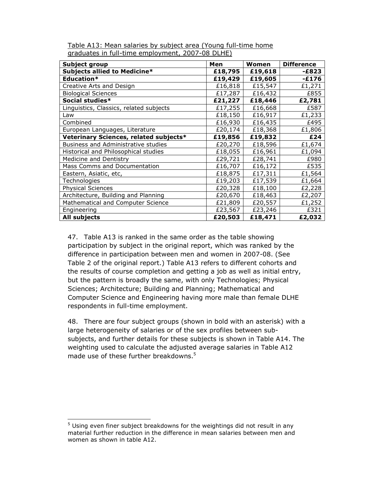| Subject group                           | Men     | Women   | <b>Difference</b> |
|-----------------------------------------|---------|---------|-------------------|
| Subjects allied to Medicine*            | £18,795 | £19,618 | -£823             |
| Education*                              | £19,429 | £19,605 | $-E176$           |
| Creative Arts and Design                | £16,818 | £15,547 | £1,271            |
| <b>Biological Sciences</b>              | £17,287 | £16,432 | £855              |
| Social studies*                         | £21,227 | £18,446 | £2,781            |
| Linguistics, Classics, related subjects | £17,255 | £16,668 | £587              |
| Law                                     | £18,150 | £16,917 | £1,233            |
| Combined                                | £16,930 | £16,435 | £495              |
| European Languages, Literature          | £20,174 | £18,368 | £1,806            |
| Veterinary Sciences, related subjects*  | £19,856 | £19,832 | £24               |
| Business and Administrative studies     | £20,270 | £18,596 | £1,674            |
| Historical and Philosophical studies    | £18,055 | £16,961 | £1,094            |
| Medicine and Dentistry                  | £29,721 | £28,741 | £980              |
| Mass Comms and Documentation            | £16,707 | £16,172 | £535              |
| Eastern, Asiatic, etc,                  | £18,875 | £17,311 | £1,564            |
| Technologies                            | £19,203 | £17,539 | £1,664            |
| <b>Physical Sciences</b>                | £20,328 | £18,100 | £2,228            |
| Architecture, Building and Planning     | £20,670 | £18,463 | £2,207            |
| Mathematical and Computer Science       | £21,809 | £20,557 | £1,252            |
| Engineering                             | £23,567 | £23,246 | £321              |
| All subjects                            | £20,503 | £18,471 | £2,032            |

Table A13: Mean salaries by subject area (Young full-time home graduates in full-time employment, 2007-08 DLHE)

47. Table A13 is ranked in the same order as the table showing participation by subject in the original report, which was ranked by the difference in participation between men and women in 2007-08. (See Table 2 of the original report.) Table A13 refers to different cohorts and the results of course completion and getting a job as well as initial entry, but the pattern is broadly the same, with only Technologies; Physical Sciences; Architecture; Building and Planning; Mathematical and Computer Science and Engineering having more male than female DLHE respondents in full-time employment.

48. There are four subject groups (shown in bold with an asterisk) with a large heterogeneity of salaries or of the sex profiles between subsubjects, and further details for these subjects is shown in Table A14. The weighting used to calculate the adjusted average salaries in Table A12 made use of these further breakdowns.<sup>5</sup>

L

<sup>&</sup>lt;sup>5</sup> Using even finer subject breakdowns for the weightings did not result in any material further reduction in the difference in mean salaries between men and women as shown in table A12.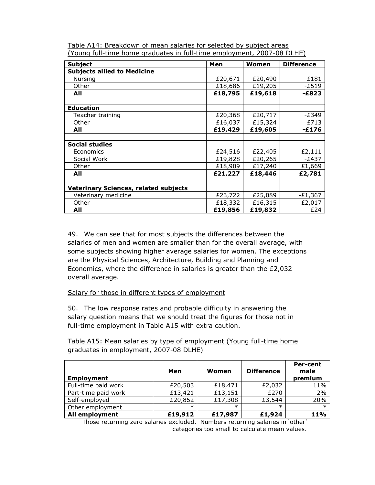| <b>Subject</b>                               | Men     | Women   | <b>Difference</b> |
|----------------------------------------------|---------|---------|-------------------|
| <b>Subjects allied to Medicine</b>           |         |         |                   |
| Nursing                                      | £20,671 | £20,490 | £181              |
| Other                                        | £18,686 | £19,205 | $-E519$           |
| All                                          | £18,795 | £19,618 | $-E823$           |
|                                              |         |         |                   |
| <b>Education</b>                             |         |         |                   |
| Teacher training                             | £20,368 | £20,717 | -£349             |
| Other                                        | £16,037 | £15,324 | £713              |
| All                                          | £19,429 | £19,605 | $-E176$           |
|                                              |         |         |                   |
| <b>Social studies</b>                        |         |         |                   |
| Economics                                    | £24,516 | £22,405 | £2,111            |
| Social Work                                  | £19,828 | £20,265 | $-E437$           |
| Other                                        | £18,909 | £17,240 | £1,669            |
| All                                          | £21,227 | £18,446 | £2,781            |
|                                              |         |         |                   |
| <b>Veterinary Sciences, related subjects</b> |         |         |                   |
| Veterinary medicine                          | £23,722 | £25,089 | $-E1,367$         |
| Other                                        | £18,332 | £16,315 | £2,017            |
| All                                          | £19,856 | £19,832 | £24               |

Table A14: Breakdown of mean salaries for selected by subject areas (Young full-time home graduates in full-time employment, 2007-08 DLHE)

49. We can see that for most subjects the differences between the salaries of men and women are smaller than for the overall average, with some subjects showing higher average salaries for women. The exceptions are the Physical Sciences, Architecture, Building and Planning and Economics, where the difference in salaries is greater than the £2,032 overall average.

### Salary for those in different types of employment

50. The low response rates and probable difficulty in answering the salary question means that we should treat the figures for those not in full-time employment in Table A15 with extra caution.

# Table A15: Mean salaries by type of employment (Young full-time home graduates in employment, 2007-08 DLHE)

| <b>Employment</b>   | Men     | Women   | <b>Difference</b> | Per-cent<br>male<br>premium |
|---------------------|---------|---------|-------------------|-----------------------------|
| Full-time paid work | £20,503 | £18,471 | £2,032            | 11%                         |
| Part-time paid work | £13,421 | £13,151 | £270              | 2%                          |
| Self-employed       | £20,852 | £17,308 | £3,544            | 20%                         |
| Other employment    | $\ast$  | $\ast$  | $\ast$            | $\ast$                      |
| All employment      | £19,912 | £17,987 | £1,924            | 11%                         |

Those returning zero salaries excluded. Numbers returning salaries in 'other' categories too small to calculate mean values.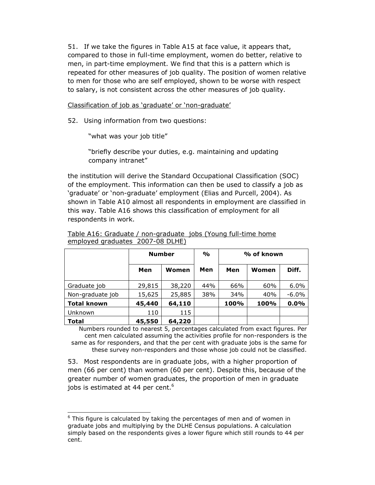51. If we take the figures in Table A15 at face value, it appears that, compared to those in full-time employment, women do better, relative to men, in part-time employment. We find that this is a pattern which is repeated for other measures of job quality. The position of women relative to men for those who are self employed, shown to be worse with respect to salary, is not consistent across the other measures of job quality.

Classification of job as 'graduate' or 'non-graduate'

52. Using information from two questions:

"what was your job title"

l

"briefly describe your duties, e.g. maintaining and updating company intranet"

the institution will derive the Standard Occupational Classification (SOC) of the employment. This information can then be used to classify a job as 'graduate' or 'non-graduate' employment (Elias and Purcell, 2004). As shown in Table A10 almost all respondents in employment are classified in this way. Table A16 shows this classification of employment for all respondents in work.

|                    | <b>Number</b> |        | $\frac{1}{2}$ | % of known |       |         |
|--------------------|---------------|--------|---------------|------------|-------|---------|
|                    | Men           | Women  | Men           | Men        | Women | Diff.   |
| Graduate job       | 29,815        | 38,220 | 44%           | 66%        | 60%   | $6.0\%$ |
| Non-graduate job   | 15,625        | 25,885 | 38%           | 34%        | 40%   | $-6.0%$ |
| <b>Total known</b> | 45,440        | 64,110 |               | 100%       | 100%  | 0.0%    |
| Unknown            | 110           | 115    |               |            |       |         |
| <b>Total</b>       | 45,550        | 64,220 |               |            |       |         |

Table A16: Graduate / non-graduate jobs (Young full-time home employed graduates 2007-08 DLHE)

Numbers rounded to nearest 5, percentages calculated from exact figures. Per cent men calculated assuming the activities profile for non-responders is the same as for responders, and that the per cent with graduate jobs is the same for these survey non-responders and those whose job could not be classified.

53. Most respondents are in graduate jobs, with a higher proportion of men (66 per cent) than women (60 per cent). Despite this, because of the greater number of women graduates, the proportion of men in graduate jobs is estimated at 44 per cent.<sup>6</sup>

<sup>&</sup>lt;sup>6</sup> This figure is calculated by taking the percentages of men and of women in graduate jobs and multiplying by the DLHE Census populations. A calculation simply based on the respondents gives a lower figure which still rounds to 44 per cent.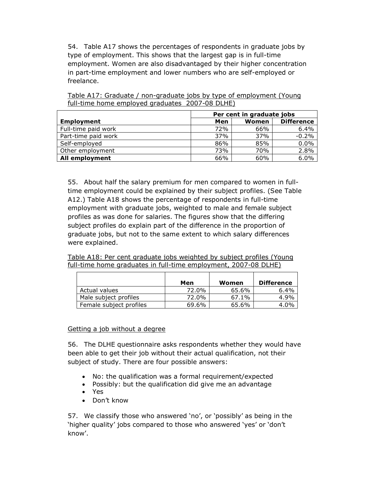54. Table A17 shows the percentages of respondents in graduate jobs by type of employment. This shows that the largest gap is in full-time employment. Women are also disadvantaged by their higher concentration in part-time employment and lower numbers who are self-employed or freelance.

|                     | Per cent in graduate jobs |       |                   |  |  |
|---------------------|---------------------------|-------|-------------------|--|--|
| Employment          | Men                       | Women | <b>Difference</b> |  |  |
| Full-time paid work | 72%                       | 66%   | 6.4%              |  |  |
| Part-time paid work | 37%                       | 37%   | $-0.2%$           |  |  |
| Self-employed       | 86%                       | 85%   | 0.0%              |  |  |
| Other employment    | 73%                       | 70%   | 2.8%              |  |  |
| All employment      | 66%                       | 60%   | 6.0%              |  |  |

Table A17: Graduate / non-graduate jobs by type of employment (Young full-time home employed graduates 2007-08 DLHE)

55. About half the salary premium for men compared to women in fulltime employment could be explained by their subject profiles. (See Table A12.) Table A18 shows the percentage of respondents in full-time employment with graduate jobs, weighted to male and female subject profiles as was done for salaries. The figures show that the differing subject profiles do explain part of the difference in the proportion of graduate jobs, but not to the same extent to which salary differences were explained.

Table A18: Per cent graduate jobs weighted by subject profiles (Young full-time home graduates in full-time employment, 2007-08 DLHE)

|                         | Men   | Women    | Difference |
|-------------------------|-------|----------|------------|
| Actual values           | 72.0% | 65.6%    | 6.4%       |
| Male subject profiles   | 72.0% | $67.1\%$ | 4.9%       |
| Female subject profiles | 69.6% | 65.6%    | $4.0\%$    |

#### Getting a job without a degree

56. The DLHE questionnaire asks respondents whether they would have been able to get their job without their actual qualification, not their subject of study. There are four possible answers:

- No: the qualification was a formal requirement/expected
- Possibly: but the qualification did give me an advantage
- Yes
- Don't know

57. We classify those who answered 'no', or 'possibly' as being in the 'higher quality' jobs compared to those who answered 'yes' or 'don't know'.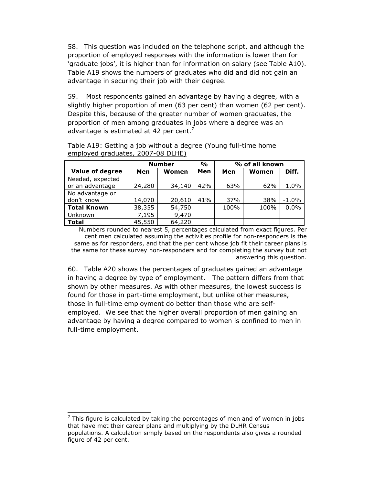58. This question was included on the telephone script, and although the proportion of employed responses with the information is lower than for 'graduate jobs', it is higher than for information on salary (see Table A10). Table A19 shows the numbers of graduates who did and did not gain an advantage in securing their job with their degree.

59. Most respondents gained an advantage by having a degree, with a slightly higher proportion of men (63 per cent) than women (62 per cent). Despite this, because of the greater number of women graduates, the proportion of men among graduates in jobs where a degree was an advantage is estimated at 42 per cent. $7$ 

|                        | <b>Number</b> |        | $\frac{1}{2}$ |      | % of all known |         |
|------------------------|---------------|--------|---------------|------|----------------|---------|
| <b>Value of degree</b> | Men           | Women  | Men           | Men  | Women          | Diff.   |
| Needed, expected       |               |        |               |      |                |         |
| or an advantage        | 24,280        | 34,140 | 42%           | 63%  | 62%            | 1.0%    |
| No advantage or        |               |        |               |      |                |         |
| don't know             | 14,070        | 20,610 | 41%           | 37%  | 38%            | $-1.0%$ |
| <b>Total Known</b>     | 38,355        | 54,750 |               | 100% | 100%           | 0.0%    |
| Unknown                | 7,195         | 9,470  |               |      |                |         |
| <b>Total</b>           | 45,550        | 64,220 |               |      |                |         |

#### Table A19: Getting a job without a degree (Young full-time home employed graduates, 2007-08 DLHE)

Numbers rounded to nearest 5, percentages calculated from exact figures. Per cent men calculated assuming the activities profile for non-responders is the same as for responders, and that the per cent whose job fit their career plans is the same for these survey non-responders and for completing the survey but not answering this question.

60. Table A20 shows the percentages of graduates gained an advantage in having a degree by type of employment. The pattern differs from that shown by other measures. As with other measures, the lowest success is found for those in part-time employment, but unlike other measures, those in full-time employment do better than those who are selfemployed. We see that the higher overall proportion of men gaining an advantage by having a degree compared to women is confined to men in full-time employment.

l

 $<sup>7</sup>$  This figure is calculated by taking the percentages of men and of women in jobs</sup> that have met their career plans and multiplying by the DLHR Census populations. A calculation simply based on the respondents also gives a rounded figure of 42 per cent.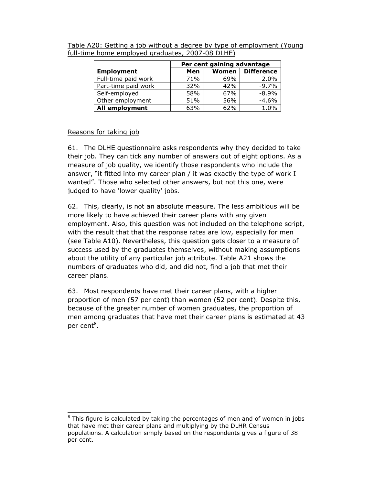|                     | Per cent gaining advantage |       |                   |  |  |  |
|---------------------|----------------------------|-------|-------------------|--|--|--|
| <b>Employment</b>   | Men                        | Women | <b>Difference</b> |  |  |  |
| Full-time paid work | 71%                        | 69%   | 2.0%              |  |  |  |
| Part-time paid work | 32%                        | 42%   | $-9.7%$           |  |  |  |
| Self-employed       | 58%                        | 67%   | $-8.9%$           |  |  |  |
| Other employment    | 51%                        | 56%   | $-4.6%$           |  |  |  |
| All employment      | 63%                        | 62%   | 1.0%              |  |  |  |

Table A20: Getting a job without a degree by type of employment (Young full-time home employed graduates, 2007-08 DLHE)

#### Reasons for taking job

l

61. The DLHE questionnaire asks respondents why they decided to take their job. They can tick any number of answers out of eight options. As a measure of job quality, we identify those respondents who include the answer, "it fitted into my career plan / it was exactly the type of work I wanted". Those who selected other answers, but not this one, were judged to have 'lower quality' jobs.

62. This, clearly, is not an absolute measure. The less ambitious will be more likely to have achieved their career plans with any given employment. Also, this question was not included on the telephone script, with the result that that the response rates are low, especially for men (see Table A10). Nevertheless, this question gets closer to a measure of success used by the graduates themselves, without making assumptions about the utility of any particular job attribute. Table A21 shows the numbers of graduates who did, and did not, find a job that met their career plans.

63. Most respondents have met their career plans, with a higher proportion of men (57 per cent) than women (52 per cent). Despite this, because of the greater number of women graduates, the proportion of men among graduates that have met their career plans is estimated at 43 per cent<sup>8</sup>.

 $8$  This figure is calculated by taking the percentages of men and of women in jobs that have met their career plans and multiplying by the DLHR Census populations. A calculation simply based on the respondents gives a figure of 38 per cent.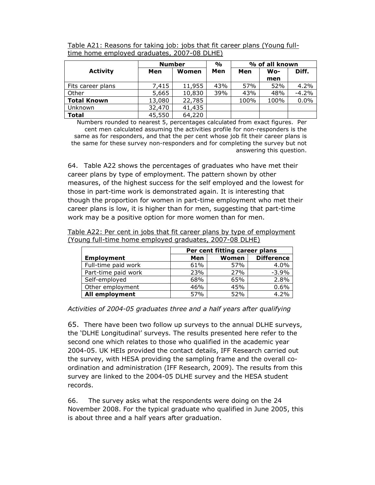|                    | <b>Number</b> |        | $\frac{0}{0}$ | % of all known |      |         |
|--------------------|---------------|--------|---------------|----------------|------|---------|
| <b>Activity</b>    | Men           | Women  | Men           | Men            | Wo-  | Diff.   |
|                    |               |        |               |                | men  |         |
| Fits career plans  | 7,415         | 11,955 | 43%           | 57%            | 52%  | 4.2%    |
| Other              | 5,665         | 10,830 | 39%           | 43%            | 48%  | $-4.2%$ |
| <b>Total Known</b> | 13,080        | 22,785 |               | 100%           | 100% | 0.0%    |
| <b>Unknown</b>     | 32,470        | 41,435 |               |                |      |         |
| <b>Total</b>       | 45,550        | 64,220 |               |                |      |         |

Table A21: Reasons for taking job: jobs that fit career plans (Young fulltime home employed graduates, 2007-08 DLHE)

Numbers rounded to nearest 5, percentages calculated from exact figures. Per cent men calculated assuming the activities profile for non-responders is the same as for responders, and that the per cent whose job fit their career plans is the same for these survey non-responders and for completing the survey but not answering this question.

64. Table A22 shows the percentages of graduates who have met their career plans by type of employment. The pattern shown by other measures, of the highest success for the self employed and the lowest for those in part-time work is demonstrated again. It is interesting that though the proportion for women in part-time employment who met their career plans is low, it is higher than for men, suggesting that part-time work may be a positive option for more women than for men.

Table A22: Per cent in jobs that fit career plans by type of employment (Young full-time home employed graduates, 2007-08 DLHE)

|                       | Per cent fitting career plans |       |                   |  |  |  |
|-----------------------|-------------------------------|-------|-------------------|--|--|--|
| Employment            | Men                           | Women | <b>Difference</b> |  |  |  |
| Full-time paid work   | 61%                           | 57%   | 4.0%              |  |  |  |
| Part-time paid work   | 23%                           | 27%   | $-3.9%$           |  |  |  |
| Self-employed         | 68%                           | 65%   | 2.8%              |  |  |  |
| Other employment      | 46%                           | 45%   | 0.6%              |  |  |  |
| <b>All employment</b> | 57%                           | 52%   | 4.2%              |  |  |  |

*Activities of 2004-05 graduates three and a half years after qualifying*

65. There have been two follow up surveys to the annual DLHE surveys, the 'DLHE Longitudinal' surveys. The results presented here refer to the second one which relates to those who qualified in the academic year 2004-05. UK HEIs provided the contact details, IFF Research carried out the survey, with HESA providing the sampling frame and the overall coordination and administration (IFF Research, 2009). The results from this survey are linked to the 2004-05 DLHE survey and the HESA student records.

66. The survey asks what the respondents were doing on the 24 November 2008. For the typical graduate who qualified in June 2005, this is about three and a half years after graduation.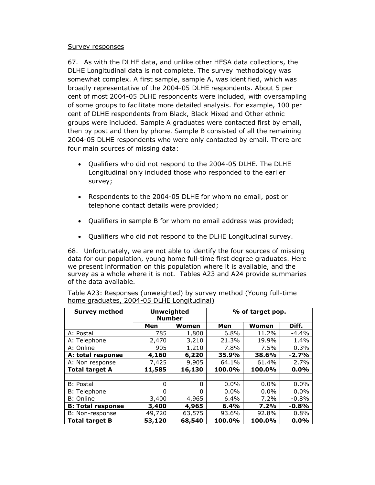#### Survey responses

67. As with the DLHE data, and unlike other HESA data collections, the DLHE Longitudinal data is not complete. The survey methodology was somewhat complex. A first sample, sample A, was identified, which was broadly representative of the 2004-05 DLHE respondents. About 5 per cent of most 2004-05 DLHE respondents were included, with oversampling of some groups to facilitate more detailed analysis. For example, 100 per cent of DLHE respondents from Black, Black Mixed and Other ethnic groups were included. Sample A graduates were contacted first by email, then by post and then by phone. Sample B consisted of all the remaining 2004-05 DLHE respondents who were only contacted by email. There are four main sources of missing data:

- Qualifiers who did not respond to the 2004-05 DLHE. The DLHE Longitudinal only included those who responded to the earlier survey;
- Respondents to the 2004-05 DLHE for whom no email, post or telephone contact details were provided;
- Qualifiers in sample B for whom no email address was provided;
- Qualifiers who did not respond to the DLHE Longitudinal survey.

68. Unfortunately, we are not able to identify the four sources of missing data for our population, young home full-time first degree graduates. Here we present information on this population where it is available, and the survey as a whole where it is not. Tables A23 and A24 provide summaries of the data available.

| <b>Survey method</b>     | <b>Unweighted</b><br><b>Number</b> |          | % of target pop. |         |         |  |
|--------------------------|------------------------------------|----------|------------------|---------|---------|--|
|                          | Men                                | Women    | Men              | Women   | Diff.   |  |
| A: Postal                | 785                                | 1,800    | 6.8%             | 11.2%   | $-4.4%$ |  |
| A: Telephone             | 2,470                              | 3,210    | 21.3%            | 19.9%   | 1.4%    |  |
| A: Online                | 905                                | 1,210    | 7.8%             | 7.5%    | 0.3%    |  |
| A: total response        | 4,160                              | 6,220    | 35.9%            | 38.6%   | $-2.7%$ |  |
| A: Non response          | 7,425                              | 9,905    | 64.1%            | 61.4%   | 2.7%    |  |
| <b>Total target A</b>    | 11,585                             | 16,130   | 100.0%           | 100.0%  | 0.0%    |  |
|                          |                                    |          |                  |         |         |  |
| <b>B</b> : Postal        | 0                                  | $\Omega$ | $0.0\%$          | $0.0\%$ | 0.0%    |  |
| <b>B: Telephone</b>      | 0                                  | $\Omega$ | $0.0\%$          | $0.0\%$ | 0.0%    |  |
| B: Online                | 3,400                              | 4,965    | 6.4%             | 7.2%    | $-0.8%$ |  |
| <b>B: Total response</b> | 3,400                              | 4,965    | 6.4%             | 7.2%    | $-0.8%$ |  |
| B: Non-response          | 49,720                             | 63,575   | 93.6%            | 92.8%   | 0.8%    |  |
| <b>Total target B</b>    | 53,120                             | 68,540   | 100.0%           | 100.0%  | $0.0\%$ |  |

| Table A23: Responses (unweighted) by survey method (Young full-time |  |  |  |
|---------------------------------------------------------------------|--|--|--|
| home graduates, 2004-05 DLHE Longitudinal)                          |  |  |  |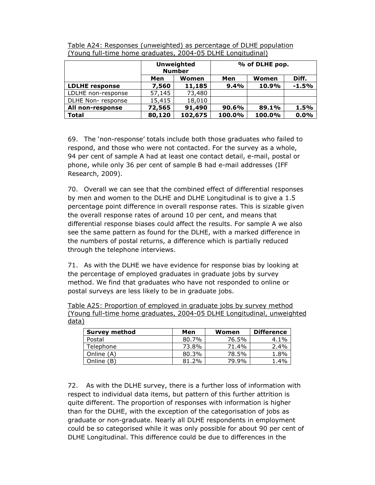|                       | <b>Unweighted</b><br><b>Number</b>  |         | % of DLHE pop. |        |         |  |
|-----------------------|-------------------------------------|---------|----------------|--------|---------|--|
|                       | Men<br><b>Women</b><br>Men<br>Women |         |                |        | Diff.   |  |
| <b>LDLHE</b> response | 7,560                               | 11,185  | 9.4%           | 10.9%  | $-1.5%$ |  |
| LDLHE non-response    | 57,145                              | 73,480  |                |        |         |  |
| DLHE Non-response     | 15,415                              | 18,010  |                |        |         |  |
| All non-response      | 72,565                              | 91,490  | 90.6%          | 89.1%  | 1.5%    |  |
| <b>Total</b>          | 80,120                              | 102,675 | 100.0%         | 100.0% | 0.0%    |  |

Table A24: Responses (unweighted) as percentage of DLHE population (Young full-time home graduates, 2004-05 DLHE Longitudinal)

69. The 'non-response' totals include both those graduates who failed to respond, and those who were not contacted. For the survey as a whole, 94 per cent of sample A had at least one contact detail, e-mail, postal or phone, while only 36 per cent of sample B had e-mail addresses (IFF Research, 2009).

70. Overall we can see that the combined effect of differential responses by men and women to the DLHE and DLHE Longitudinal is to give a 1.5 percentage point difference in overall response rates. This is sizable given the overall response rates of around 10 per cent, and means that differential response biases could affect the results. For sample A we also see the same pattern as found for the DLHE, with a marked difference in the numbers of postal returns, a difference which is partially reduced through the telephone interviews.

71. As with the DLHE we have evidence for response bias by looking at the percentage of employed graduates in graduate jobs by survey method. We find that graduates who have not responded to online or postal surveys are less likely to be in graduate jobs.

Table A25: Proportion of employed in graduate jobs by survey method (Young full-time home graduates, 2004-05 DLHE Longitudinal, unweighted data)

| Survey method | Men   | Women | <b>Difference</b> |
|---------------|-------|-------|-------------------|
| Postal        | 80.7% | 76.5% | $4.1\%$           |
| Telephone     | 73.8% | 71.4% | 2.4%              |
| Online (A)    | 80.3% | 78.5% | 1.8%              |
| Online<br>(B) | 81.2% | 79.9% | 1.4%              |

72. As with the DLHE survey, there is a further loss of information with respect to individual data items, but pattern of this further attrition is quite different. The proportion of responses with information is higher than for the DLHE, with the exception of the categorisation of jobs as graduate or non-graduate. Nearly all DLHE respondents in employment could be so categorised while it was only possible for about 90 per cent of DLHE Longitudinal. This difference could be due to differences in the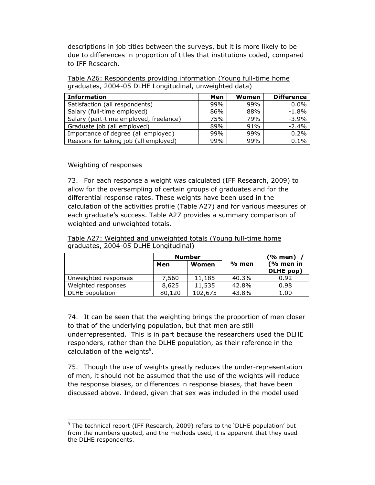descriptions in job titles between the surveys, but it is more likely to be due to differences in proportion of titles that institutions coded, compared to IFF Research.

|                                                        |  |  | Table A26: Respondents providing information (Young full-time home |
|--------------------------------------------------------|--|--|--------------------------------------------------------------------|
| graduates, 2004-05 DLHE Longitudinal, unweighted data) |  |  |                                                                    |

| <b>Information</b>                     | Men | Women | <b>Difference</b> |
|----------------------------------------|-----|-------|-------------------|
| Satisfaction (all respondents)         | 99% | 99%   | 0.0%              |
| Salary (full-time employed)            | 86% | 88%   | $-1.8%$           |
| Salary (part-time employed, freelance) | 75% | 79%   | $-3.9%$           |
| Graduate job (all employed)            | 89% | 91%   | $-2.4%$           |
| Importance of degree (all employed)    | 99% | 99%   | 0.2%              |
| Reasons for taking job (all employed)  | 99% | 99%   | 0.1%              |

### Weighting of responses

L

73. For each response a weight was calculated (IFF Research, 2009) to allow for the oversampling of certain groups of graduates and for the differential response rates. These weights have been used in the calculation of the activities profile (Table A27) and for various measures of each graduate's success. Table A27 provides a summary comparison of weighted and unweighted totals.

#### Table A27: Weighted and unweighted totals (Young full-time home graduates, 2004-05 DLHE Longitudinal)

|                      |        | <b>Number</b> |       | $(%$ men $)$           |
|----------------------|--------|---------------|-------|------------------------|
|                      | Men    | Women         | % men | (% men in<br>DLHE pop) |
| Unweighted responses | 7.560  | 11,185        | 40.3% | 0.92                   |
| Weighted responses   | 8,625  | 11,535        | 42.8% | 0.98                   |
| DLHE population      | 80,120 | 102,675       | 43.8% | 1.00                   |

74. It can be seen that the weighting brings the proportion of men closer to that of the underlying population, but that men are still underrepresented. This is in part because the researchers used the DLHE responders, rather than the DLHE population, as their reference in the calculation of the weights<sup>9</sup>.

75. Though the use of weights greatly reduces the under-representation of men, it should not be assumed that the use of the weights will reduce the response biases, or differences in response biases, that have been discussed above. Indeed, given that sex was included in the model used

<sup>&</sup>lt;sup>9</sup> The technical report (IFF Research, 2009) refers to the `DLHE population' but from the numbers quoted, and the methods used, it is apparent that they used the DLHE respondents.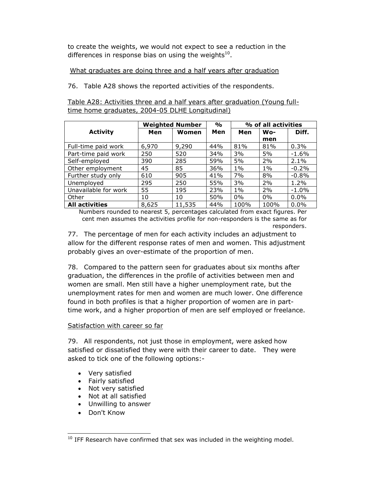to create the weights, we would not expect to see a reduction in the differences in response bias on using the weights $^{10}$ .

### What graduates are doing three and a half years after graduation

76. Table A28 shows the reported activities of the respondents.

Table A28: Activities three and a half years after graduation (Young fulltime home graduates, 2004-05 DLHE Longitudinal)

|                       |       | <b>Weighted Number</b> | $\frac{1}{\alpha}$ | % of all activities |       |          |
|-----------------------|-------|------------------------|--------------------|---------------------|-------|----------|
| <b>Activity</b>       | Men   | Women                  | Men                | Men                 | $wo-$ | Diff.    |
|                       |       |                        |                    |                     | men   |          |
| Full-time paid work   | 6,970 | 9,290                  | 44%                | 81%                 | 81%   | 0.3%     |
| Part-time paid work   | 250   | 520                    | 34%                | 3%                  | 5%    | $-1.6%$  |
| Self-employed         | 390   | 285                    | 59%                | 5%                  | 2%    | 2.1%     |
| Other employment      | 45    | 85                     | 36%                | $1\%$               | $1\%$ | $-0.2%$  |
| Further study only    | 610   | 905                    | 41%                | 7%                  | 8%    | $-0.8%$  |
| Unemployed            | 295   | 250                    | 55%                | 3%                  | 2%    | 1.2%     |
| Unavailable for work  | 55    | 195                    | 23%                | $1\%$               | 2%    | $-1.0\%$ |
| Other                 | 10    | 10                     | 50%                | $0\%$               | $0\%$ | $0.0\%$  |
| <b>All activities</b> | 8,625 | 11,535                 | 44%                | 100%                | 100%  | $0.0\%$  |

Numbers rounded to nearest 5, percentages calculated from exact figures. Per cent men assumes the activities profile for non-responders is the same as for responders.

77. The percentage of men for each activity includes an adjustment to allow for the different response rates of men and women. This adjustment probably gives an over-estimate of the proportion of men.

78. Compared to the pattern seen for graduates about six months after graduation, the differences in the profile of activities between men and women are small. Men still have a higher unemployment rate, but the unemployment rates for men and women are much lower. One difference found in both profiles is that a higher proportion of women are in parttime work, and a higher proportion of men are self employed or freelance.

### Satisfaction with career so far

79. All respondents, not just those in employment, were asked how satisfied or dissatisfied they were with their career to date. They were asked to tick one of the following options:-

- Very satisfied
- Fairly satisfied
- Not very satisfied
- Not at all satisfied
- Unwilling to answer
- Don't Know

 $\overline{a}$ 

 $10$  IFF Research have confirmed that sex was included in the weighting model.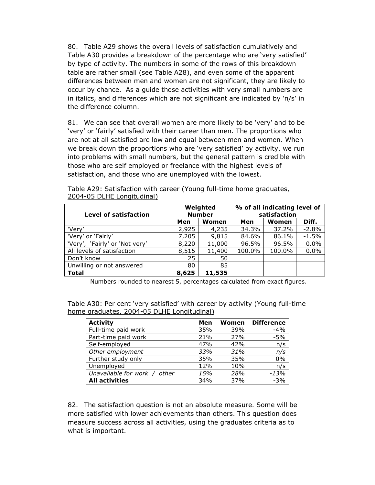80. Table A29 shows the overall levels of satisfaction cumulatively and Table A30 provides a breakdown of the percentage who are 'very satisfied' by type of activity. The numbers in some of the rows of this breakdown table are rather small (see Table A28), and even some of the apparent differences between men and women are not significant, they are likely to occur by chance. As a guide those activities with very small numbers are in italics, and differences which are not significant are indicated by 'n/s' in the difference column.

81. We can see that overall women are more likely to be 'very' and to be 'very' or 'fairly' satisfied with their career than men. The proportions who are not at all satisfied are low and equal between men and women. When we break down the proportions who are 'very satisfied' by activity, we run into problems with small numbers, but the general pattern is credible with those who are self employed or freelance with the highest levels of satisfaction, and those who are unemployed with the lowest.

| Level of satisfaction          |       | Weighted<br><b>Number</b> | % of all indicating level of<br>satisfaction |        |         |  |
|--------------------------------|-------|---------------------------|----------------------------------------------|--------|---------|--|
|                                | Men   | Women                     | Men                                          | Women  | Diff.   |  |
| 'Very'                         | 2,925 | 4,235                     | 34.3%                                        | 37.2%  | $-2.8%$ |  |
| 'Very' or 'Fairly'             | 7,205 | 9,815                     | 84.6%                                        | 86.1%  | $-1.5%$ |  |
| 'Very', 'Fairly' or 'Not very' | 8,220 | 11,000                    | 96.5%                                        | 96.5%  | 0.0%    |  |
| All levels of satisfaction     | 8,515 | 11,400                    | 100.0%                                       | 100.0% | 0.0%    |  |
| Don't know                     | 25    | 50                        |                                              |        |         |  |
| Unwilling or not answered      | 80    | 85                        |                                              |        |         |  |
| <b>Total</b>                   | 8,625 | 11,535                    |                                              |        |         |  |

Table A29: Satisfaction with career (Young full-time home graduates, 2004-05 DLHE Longitudinal)

Numbers rounded to nearest 5, percentages calculated from exact figures.

| Table A30: Per cent 'very satisfied' with career by activity (Young full-time |  |  |  |  |
|-------------------------------------------------------------------------------|--|--|--|--|
| home graduates, 2004-05 DLHE Longitudinal)                                    |  |  |  |  |

| <b>Activity</b>                 | Men | Women | <b>Difference</b> |
|---------------------------------|-----|-------|-------------------|
| Full-time paid work             | 35% | 39%   | $-4%$             |
| Part-time paid work             | 21% | 27%   | $-5%$             |
| Self-employed                   | 47% | 42%   | n/s               |
| Other employment                | 33% | 31%   | n/s               |
| Further study only              | 35% | 35%   | 0%                |
| Unemployed                      | 12% | 10%   | n/s               |
| Unavailable for work /<br>other | 15% | 28%   | $-13%$            |
| <b>All activities</b>           | 34% | 37%   | $-3%$             |

82. The satisfaction question is not an absolute measure. Some will be more satisfied with lower achievements than others. This question does measure success across all activities, using the graduates criteria as to what is important.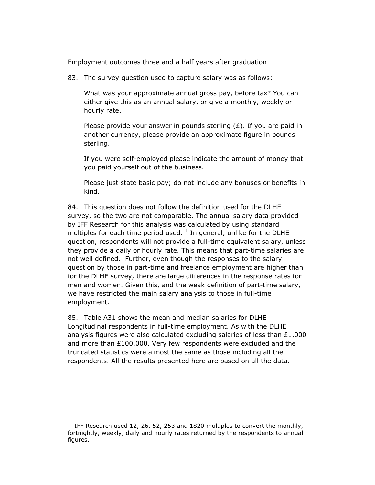#### Employment outcomes three and a half years after graduation

83. The survey question used to capture salary was as follows:

What was your approximate annual gross pay, before tax? You can either give this as an annual salary, or give a monthly, weekly or hourly rate.

Please provide your answer in pounds sterling  $(E)$ . If you are paid in another currency, please provide an approximate figure in pounds sterling.

If you were self-employed please indicate the amount of money that you paid yourself out of the business.

Please just state basic pay; do not include any bonuses or benefits in kind.

84. This question does not follow the definition used for the DLHE survey, so the two are not comparable. The annual salary data provided by IFF Research for this analysis was calculated by using standard multiples for each time period used. $11$  In general, unlike for the DLHE question, respondents will not provide a full-time equivalent salary, unless they provide a daily or hourly rate. This means that part-time salaries are not well defined. Further, even though the responses to the salary question by those in part-time and freelance employment are higher than for the DLHE survey, there are large differences in the response rates for men and women. Given this, and the weak definition of part-time salary, we have restricted the main salary analysis to those in full-time employment.

85. Table A31 shows the mean and median salaries for DLHE Longitudinal respondents in full-time employment. As with the DLHE analysis figures were also calculated excluding salaries of less than £1,000 and more than £100,000. Very few respondents were excluded and the truncated statistics were almost the same as those including all the respondents. All the results presented here are based on all the data.

L

<sup>&</sup>lt;sup>11</sup> IFF Research used 12, 26, 52, 253 and 1820 multiples to convert the monthly, fortnightly, weekly, daily and hourly rates returned by the respondents to annual figures.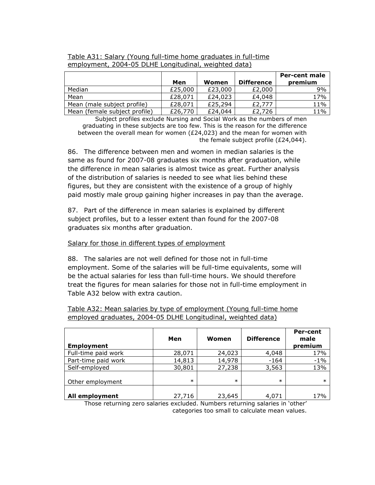|                               |         |         |                   | <b>Per-cent male</b> |
|-------------------------------|---------|---------|-------------------|----------------------|
|                               | Men     | Women   | <b>Difference</b> | premium              |
| Median                        | £25,000 | £23,000 | £2,000            | 9%                   |
| Mean                          | £28,071 | £24,023 | £4,048            | 17%                  |
| Mean (male subject profile)   | £28,071 | £25,294 | £2,777            | 11%                  |
| Mean (female subject profile) | £26,770 | £24,044 | £2,726            | 11%                  |

### Table A31: Salary (Young full-time home graduates in full-time employment, 2004-05 DLHE Longitudinal, weighted data)

Subject profiles exclude Nursing and Social Work as the numbers of men graduating in these subjects are too few. This is the reason for the difference between the overall mean for women (£24,023) and the mean for women with the female subject profile (£24,044).

86. The difference between men and women in median salaries is the same as found for 2007-08 graduates six months after graduation, while the difference in mean salaries is almost twice as great. Further analysis of the distribution of salaries is needed to see what lies behind these figures, but they are consistent with the existence of a group of highly paid mostly male group gaining higher increases in pay than the average.

87. Part of the difference in mean salaries is explained by different subject profiles, but to a lesser extent than found for the 2007-08 graduates six months after graduation.

### Salary for those in different types of employment

88. The salaries are not well defined for those not in full-time employment. Some of the salaries will be full-time equivalents, some will be the actual salaries for less than full-time hours. We should therefore treat the figures for mean salaries for those not in full-time employment in Table A32 below with extra caution.

| <b>Employment</b>   | Men    | Women  | <b>Difference</b> | Per-cent<br>male<br>premium |
|---------------------|--------|--------|-------------------|-----------------------------|
| Full-time paid work | 28,071 | 24,023 | 4,048             | 17%                         |
| Part-time paid work | 14,813 | 14,978 | $-164$            | $-1%$                       |
| Self-employed       | 30,801 | 27,238 | 3,563             | 13%                         |
| Other employment    | $\ast$ | $\ast$ | $\ast$            | $\ast$                      |
| All employment      | 27,716 | 23,645 | 4,071             | 17%                         |

Table A32: Mean salaries by type of employment (Young full-time home employed graduates, 2004-05 DLHE Longitudinal, weighted data)

Those returning zero salaries excluded. Numbers returning salaries in 'other' categories too small to calculate mean values.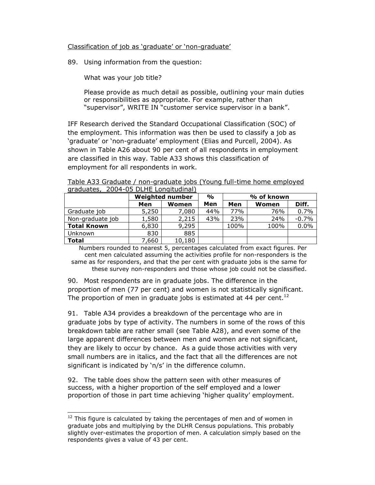#### Classification of job as 'graduate' or 'non-graduate'

89. Using information from the question:

What was your job title?

Please provide as much detail as possible, outlining your main duties or responsibilities as appropriate. For example, rather than "supervisor", WRITE IN "customer service supervisor in a bank".

IFF Research derived the Standard Occupational Classification (SOC) of the employment. This information was then be used to classify a job as 'graduate' or 'non-graduate' employment (Elias and Purcell, 2004). As shown in Table A26 about 90 per cent of all respondents in employment are classified in this way. Table A33 shows this classification of employment for all respondents in work.

| graduates, 2004-05 DLHE Longitudinal |                 |        |               |            |       |         |
|--------------------------------------|-----------------|--------|---------------|------------|-------|---------|
|                                      | Weighted number |        | $\frac{1}{2}$ | % of known |       |         |
|                                      | Men             | Women  | Men           | Men        | Women | Diff.   |
| Graduate job                         | 5,250           | 7,080  | 44%           | 77%        | 76%   | 0.7%    |
| Non-graduate job                     | 1,580           | 2,215  | 43%           | 23%        | 24%   | $-0.7%$ |
| <b>Total Known</b>                   | 6,830           | 9,295  |               | 100%       | 100%  | 0.0%    |
| <b>Unknown</b>                       | 830             | 885    |               |            |       |         |
| <b>Total</b>                         | 7,660           | 10,180 |               |            |       |         |

Table A33 Graduate / non-graduate jobs (Young full-time home employed  $2004-05$  DLHE Longitudinal

Numbers rounded to nearest 5, percentages calculated from exact figures. Per cent men calculated assuming the activities profile for non-responders is the same as for responders, and that the per cent with graduate jobs is the same for these survey non-responders and those whose job could not be classified.

90. Most respondents are in graduate jobs. The difference in the proportion of men (77 per cent) and women is not statistically significant. The proportion of men in graduate jobs is estimated at 44 per cent.<sup>12</sup>

91. Table A34 provides a breakdown of the percentage who are in graduate jobs by type of activity. The numbers in some of the rows of this breakdown table are rather small (see Table A28), and even some of the large apparent differences between men and women are not significant, they are likely to occur by chance. As a guide those activities with very small numbers are in italics, and the fact that all the differences are not significant is indicated by 'n/s' in the difference column.

92. The table does show the pattern seen with other measures of success, with a higher proportion of the self employed and a lower proportion of those in part time achieving 'higher quality' employment.

l

 $12$  This figure is calculated by taking the percentages of men and of women in graduate jobs and multiplying by the DLHR Census populations. This probably slightly over-estimates the proportion of men. A calculation simply based on the respondents gives a value of 43 per cent.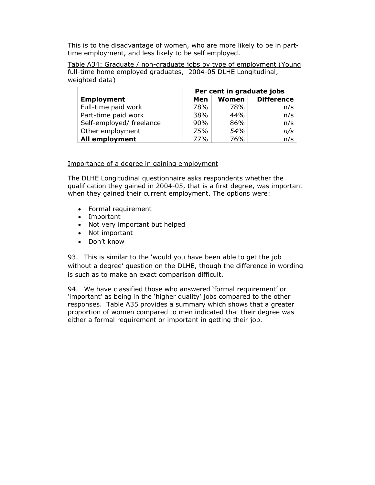This is to the disadvantage of women, who are more likely to be in parttime employment, and less likely to be self employed.

Table A34: Graduate / non-graduate jobs by type of employment (Young full-time home employed graduates, 2004-05 DLHE Longitudinal, weighted data)

|                          | Per cent in graduate jobs         |     |     |  |  |  |
|--------------------------|-----------------------------------|-----|-----|--|--|--|
| <b>Employment</b>        | <b>Difference</b><br>Women<br>Men |     |     |  |  |  |
| Full-time paid work      | 78%                               | 78% | n/s |  |  |  |
| Part-time paid work      | 38%                               | 44% | n/s |  |  |  |
| Self-employed/ freelance | 90%                               | 86% | n/s |  |  |  |
| Other employment         | 75%                               | 54% | n/s |  |  |  |
| <b>All employment</b>    | 77%                               | 76% | n/s |  |  |  |

#### Importance of a degree in gaining employment

The DLHE Longitudinal questionnaire asks respondents whether the qualification they gained in 2004-05, that is a first degree, was important when they gained their current employment. The options were:

- Formal requirement
- Important
- Not very important but helped
- Not important
- Don't know

93. This is similar to the 'would you have been able to get the job without a degree' question on the DLHE, though the difference in wording is such as to make an exact comparison difficult.

94. We have classified those who answered 'formal requirement' or 'important' as being in the 'higher quality' jobs compared to the other responses. Table A35 provides a summary which shows that a greater proportion of women compared to men indicated that their degree was either a formal requirement or important in getting their job.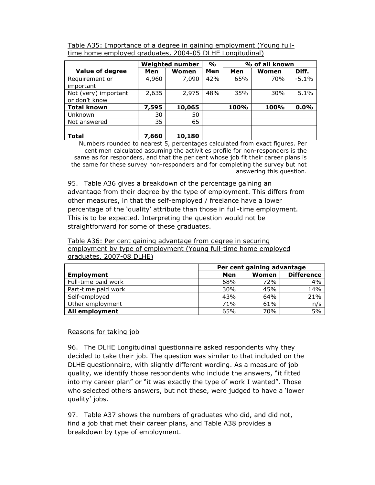| Table A35: Importance of a degree in gaining employment (Young full- |  |  |  |  |
|----------------------------------------------------------------------|--|--|--|--|
| time home employed graduates, 2004-05 DLHE Longitudinal)             |  |  |  |  |

|                                       | Weighted number |        | $\frac{1}{\alpha}$ |      | % of all known |          |
|---------------------------------------|-----------------|--------|--------------------|------|----------------|----------|
| <b>Value of degree</b>                | Men             | Women  | Men                | Men  | Women          | Diff.    |
| Requirement or<br>important           | 4,960           | 7,090  | 42%                | 65%  | 70%            | $-5.1\%$ |
| Not (very) important<br>or don't know | 2,635           | 2,975  | 48%                | 35%  | 30%            | 5.1%     |
| <b>Total known</b>                    | 7,595           | 10,065 |                    | 100% | 100%           | 0.0%     |
| <b>Unknown</b>                        | 30              | 50     |                    |      |                |          |
| Not answered                          | 35              | 65     |                    |      |                |          |
|                                       |                 |        |                    |      |                |          |
| <b>Total</b>                          | 7,660           | 10,180 |                    |      |                |          |

Numbers rounded to nearest 5, percentages calculated from exact figures. Per cent men calculated assuming the activities profile for non-responders is the same as for responders, and that the per cent whose job fit their career plans is the same for these survey non-responders and for completing the survey but not answering this question.

95. Table A36 gives a breakdown of the percentage gaining an advantage from their degree by the type of employment. This differs from other measures, in that the self-employed / freelance have a lower percentage of the 'quality' attribute than those in full-time employment. This is to be expected. Interpreting the question would not be straightforward for some of these graduates.

Table A36: Per cent gaining advantage from degree in securing employment by type of employment (Young full-time home employed graduates, 2007-08 DLHE)

|                     | Per cent gaining advantage |       |                   |  |
|---------------------|----------------------------|-------|-------------------|--|
| <b>Employment</b>   | Men                        | Women | <b>Difference</b> |  |
| Full-time paid work | 68%                        | 72%   | 4%                |  |
| Part-time paid work | 30%                        | 45%   | 14%               |  |
| Self-employed       | 43%                        | 64%   | 21%               |  |
| Other employment    | 71%                        | 61%   | n/s               |  |
| All employment      | 65%                        | 70%   | 5%                |  |

### Reasons for taking job

96. The DLHE Longitudinal questionnaire asked respondents why they decided to take their job. The question was similar to that included on the DLHE questionnaire, with slightly different wording. As a measure of job quality, we identify those respondents who include the answers, "it fitted into my career plan" or "it was exactly the type of work I wanted". Those who selected others answers, but not these, were judged to have a 'lower quality' jobs.

97. Table A37 shows the numbers of graduates who did, and did not, find a job that met their career plans, and Table A38 provides a breakdown by type of employment.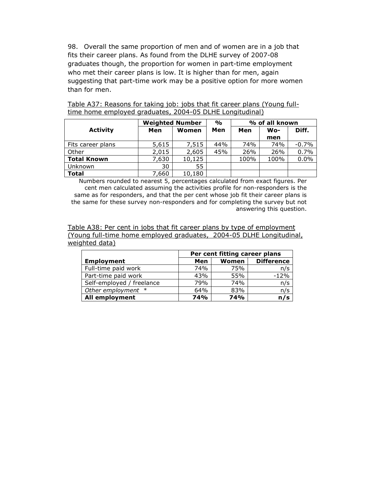98. Overall the same proportion of men and of women are in a job that fits their career plans. As found from the DLHE survey of 2007-08 graduates though, the proportion for women in part-time employment who met their career plans is low. It is higher than for men, again suggesting that part-time work may be a positive option for more women than for men.

|                    | <b>Weighted Number</b> |        | $\frac{1}{2}$ |      |      | % of all known |  |
|--------------------|------------------------|--------|---------------|------|------|----------------|--|
| <b>Activity</b>    | Men                    | Women  | Men           | Men  | Wo-  | Diff.          |  |
|                    |                        |        |               |      | men  |                |  |
| Fits career plans  | 5,615                  | 7,515  | 44%           | 74%  | 74%  | $-0.7%$        |  |
| Other              | 2,015                  | 2,605  | 45%           | 26%  | 26%  | 0.7%           |  |
| <b>Total Known</b> | 7.630                  | 10,125 |               | 100% | 100% | 0.0%           |  |
| <b>Unknown</b>     | 30                     | 55     |               |      |      |                |  |
| <b>Total</b>       | 7,660                  | 10,180 |               |      |      |                |  |

Table A37: Reasons for taking job: jobs that fit career plans (Young fulltime home employed graduates, 2004-05 DLHE Longitudinal)

Numbers rounded to nearest 5, percentages calculated from exact figures. Per cent men calculated assuming the activities profile for non-responders is the same as for responders, and that the per cent whose job fit their career plans is the same for these survey non-responders and for completing the survey but not answering this question.

Table A38: Per cent in jobs that fit career plans by type of employment (Young full-time home employed graduates, 2004-05 DLHE Longitudinal, weighted data)

|                           | Per cent fitting career plans |            |                   |  |
|---------------------------|-------------------------------|------------|-------------------|--|
| <b>Employment</b>         | Men                           | Women      | <b>Difference</b> |  |
| Full-time paid work       | 74%                           | 75%        | n/s               |  |
| Part-time paid work       | 43%                           | 55%        | $-12%$            |  |
| Self-employed / freelance | 79%                           | 74%        | n/s               |  |
| Other employment *        | 64%                           | 83%        | n/s               |  |
| All employment            | <b>74%</b>                    | <b>74%</b> | n/s               |  |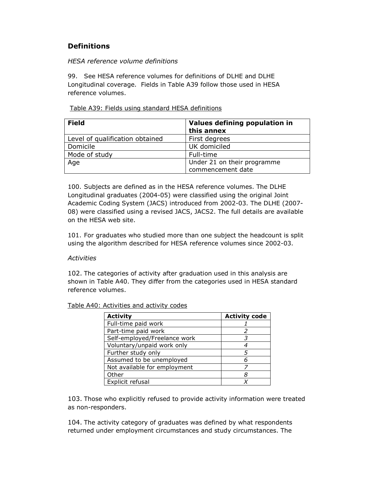# **Definitions**

#### *HESA reference volume definitions*

99. See HESA reference volumes for definitions of DLHE and DLHE Longitudinal coverage. Fields in Table A39 follow those used in HESA reference volumes.

#### Table A39: Fields using standard HESA definitions

| <b>Field</b>                    | Values defining population in<br>this annex |
|---------------------------------|---------------------------------------------|
| Level of qualification obtained | First degrees                               |
| Domicile                        | UK domiciled                                |
| Mode of study                   | Full-time                                   |
| Age                             | Under 21 on their programme                 |
|                                 | commencement date                           |

100. Subjects are defined as in the HESA reference volumes. The DLHE Longitudinal graduates (2004-05) were classified using the original Joint Academic Coding System (JACS) introduced from 2002-03. The DLHE (2007- 08) were classified using a revised JACS, JACS2. The full details are available on the HESA web site.

101. For graduates who studied more than one subject the headcount is split using the algorithm described for HESA reference volumes since 2002-03.

#### *Activities*

102. The categories of activity after graduation used in this analysis are shown in Table A40. They differ from the categories used in HESA standard reference volumes.

Table A40: Activities and activity codes

| <b>Activity</b>              | <b>Activity code</b> |
|------------------------------|----------------------|
| Full-time paid work          |                      |
| Part-time paid work          |                      |
| Self-employed/Freelance work |                      |
| Voluntary/unpaid work only   |                      |
| Further study only           |                      |
| Assumed to be unemployed     |                      |
| Not available for employment |                      |
| Other                        | 8                    |
| Explicit refusal             |                      |

103. Those who explicitly refused to provide activity information were treated as non-responders.

104. The activity category of graduates was defined by what respondents returned under employment circumstances and study circumstances. The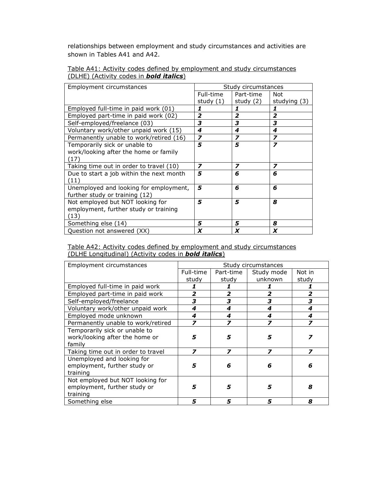relationships between employment and study circumstances and activities are shown in Tables A41 and A42.

|                                                 |  | Table A41: Activity codes defined by employment and study circumstances |
|-------------------------------------------------|--|-------------------------------------------------------------------------|
| (DLHE) (Activity codes in <b>bold italics</b> ) |  |                                                                         |

| Employment circumstances                 | Study circumstances     |                         |                         |
|------------------------------------------|-------------------------|-------------------------|-------------------------|
|                                          | Full-time               | Part-time               | Not                     |
|                                          | study $(1)$             | study $(2)$             | studying (3)            |
| Employed full-time in paid work (01)     | 1                       | 1                       |                         |
| Employed part-time in paid work (02)     | 2                       | $\overline{2}$          | $\overline{2}$          |
| Self-employed/freelance (03)             | 3                       | 3                       | 3                       |
| Voluntary work/other unpaid work (15)    | 4                       | 4                       | 4                       |
| Permanently unable to work/retired (16)  | 7                       | $\overline{\mathbf{z}}$ | $\overline{\mathbf{z}}$ |
| Temporarily sick or unable to            | 5                       | 5                       | $\overline{\mathbf{z}}$ |
| work/looking after the home or family    |                         |                         |                         |
| (17)                                     |                         |                         |                         |
| Taking time out in order to travel (10)  | $\overline{\mathbf{z}}$ | $\overline{\mathbf{z}}$ | $\overline{\mathbf{z}}$ |
| Due to start a job within the next month | 5                       | 6                       | 6                       |
| (11)                                     |                         |                         |                         |
| Unemployed and looking for employment,   | 5                       | 6                       | 6                       |
| further study or training (12)           |                         |                         |                         |
| Not employed but NOT looking for         | 5                       | 5                       | 8                       |
| employment, further study or training    |                         |                         |                         |
| (13)                                     |                         |                         |                         |
| Something else (14)                      | 5                       | 5                       | 8                       |
| Question not answered (XX)               | X                       | X                       | X                       |

#### Table A42: Activity codes defined by employment and study circumstances (DLHE Longitudinal) (Activity codes in *bold italics*)

| Employment circumstances           | Study circumstances |                |            |        |
|------------------------------------|---------------------|----------------|------------|--------|
|                                    | Full-time           | Part-time      | Study mode | Not in |
|                                    | study               | study          | unknown    | study  |
| Employed full-time in paid work    |                     |                |            |        |
| Employed part-time in paid work    | 2                   | 2              | 2          |        |
| Self-employed/freelance            | 3                   | 3              | 3          | 3      |
| Voluntary work/other unpaid work   | 4                   | 4              | 4          | 4      |
| Employed mode unknown              | 4                   | 4              | 4          | 4      |
| Permanently unable to work/retired | 7                   | $\overline{z}$ | 7          | 7      |
| Temporarily sick or unable to      |                     |                |            |        |
| work/looking after the home or     | 5                   | 5              | 5          |        |
| family                             |                     |                |            |        |
| Taking time out in order to travel | 7                   | 7              | 7          | 7      |
| Unemployed and looking for         |                     |                |            |        |
| employment, further study or       | 5                   | 6              | 6          | 6      |
| training                           |                     |                |            |        |
| Not employed but NOT looking for   |                     |                |            |        |
| employment, further study or       | 5                   | 5              | 5          |        |
| training                           |                     |                |            |        |
| Something else                     | 5                   | 5              |            | 8      |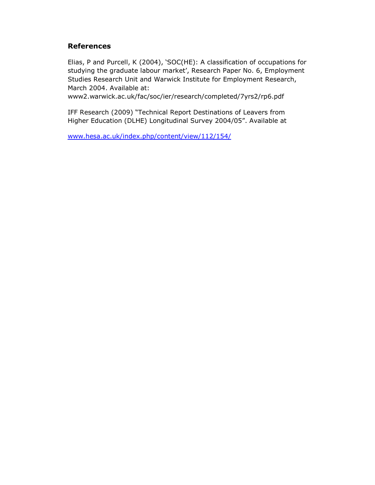# **References**

Elias, P and Purcell, K (2004), 'SOC(HE): A classification of occupations for studying the graduate labour market', Research Paper No. 6, Employment Studies Research Unit and Warwick Institute for Employment Research, March 2004. Available at:

www2.warwick.ac.uk/fac/soc/ier/research/completed/7yrs2/rp6.pdf

IFF Research (2009) "Technical Report Destinations of Leavers from Higher Education (DLHE) Longitudinal Survey 2004/05". Available at

www.hesa.ac.uk/index.php/content/view/112/154/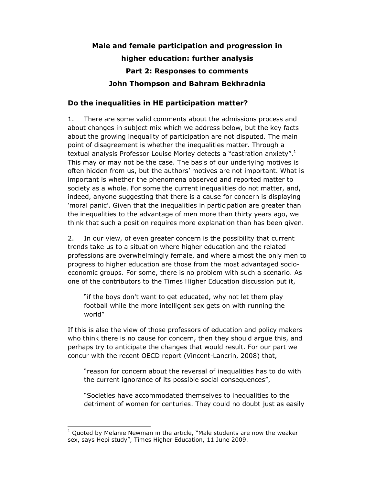# **Male and female participation and progression in higher education: further analysis Part 2: Responses to comments John Thompson and Bahram Bekhradnia**

# **Do the inequalities in HE participation matter?**

1. There are some valid comments about the admissions process and about changes in subject mix which we address below, but the key facts about the growing inequality of participation are not disputed. The main point of disagreement is whether the inequalities matter. Through a textual analysis Professor Louise Morley detects a "castration anxiety".<sup>1</sup> This may or may not be the case. The basis of our underlying motives is often hidden from us, but the authors' motives are not important. What is important is whether the phenomena observed and reported matter to society as a whole. For some the current inequalities do not matter, and, indeed, anyone suggesting that there is a cause for concern is displaying 'moral panic'. Given that the inequalities in participation are greater than the inequalities to the advantage of men more than thirty years ago, we think that such a position requires more explanation than has been given.

2. In our view, of even greater concern is the possibility that current trends take us to a situation where higher education and the related professions are overwhelmingly female, and where almost the only men to progress to higher education are those from the most advantaged socioeconomic groups. For some, there is no problem with such a scenario. As one of the contributors to the Times Higher Education discussion put it,

"if the boys don't want to get educated, why not let them play football while the more intelligent sex gets on with running the world"

If this is also the view of those professors of education and policy makers who think there is no cause for concern, then they should argue this, and perhaps try to anticipate the changes that would result. For our part we concur with the recent OECD report (Vincent-Lancrin, 2008) that,

"reason for concern about the reversal of inequalities has to do with the current ignorance of its possible social consequences",

"Societies have accommodated themselves to inequalities to the detriment of women for centuries. They could no doubt just as easily

 $\overline{a}$ 

<sup>1</sup> Quoted by Melanie Newman in the article, "Male students are now the weaker sex, says Hepi study", Times Higher Education, 11 June 2009.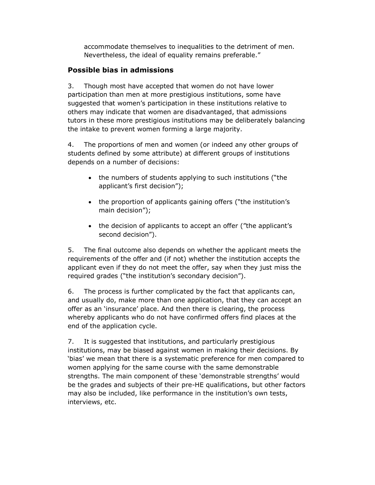accommodate themselves to inequalities to the detriment of men. Nevertheless, the ideal of equality remains preferable."

# **Possible bias in admissions**

3. Though most have accepted that women do not have lower participation than men at more prestigious institutions, some have suggested that women's participation in these institutions relative to others may indicate that women are disadvantaged, that admissions tutors in these more prestigious institutions may be deliberately balancing the intake to prevent women forming a large majority.

4. The proportions of men and women (or indeed any other groups of students defined by some attribute) at different groups of institutions depends on a number of decisions:

- the numbers of students applying to such institutions ("the applicant's first decision");
- the proportion of applicants gaining offers ("the institution's main decision");
- the decision of applicants to accept an offer ("the applicant's second decision").

5. The final outcome also depends on whether the applicant meets the requirements of the offer and (if not) whether the institution accepts the applicant even if they do not meet the offer, say when they just miss the required grades ("the institution's secondary decision").

6. The process is further complicated by the fact that applicants can, and usually do, make more than one application, that they can accept an offer as an 'insurance' place. And then there is clearing, the process whereby applicants who do not have confirmed offers find places at the end of the application cycle.

7. It is suggested that institutions, and particularly prestigious institutions, may be biased against women in making their decisions. By 'bias' we mean that there is a systematic preference for men compared to women applying for the same course with the same demonstrable strengths. The main component of these 'demonstrable strengths' would be the grades and subjects of their pre-HE qualifications, but other factors may also be included, like performance in the institution's own tests, interviews, etc.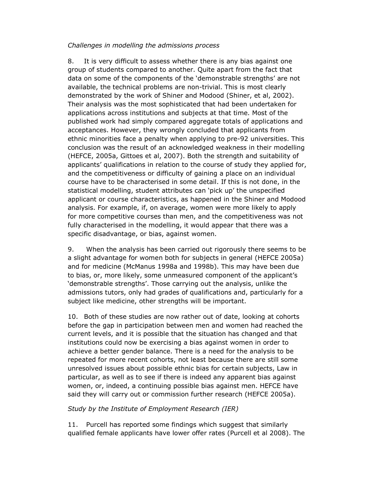#### *Challenges in modelling the admissions process*

8. It is very difficult to assess whether there is any bias against one group of students compared to another. Quite apart from the fact that data on some of the components of the 'demonstrable strengths' are not available, the technical problems are non-trivial. This is most clearly demonstrated by the work of Shiner and Modood (Shiner, et al, 2002). Their analysis was the most sophisticated that had been undertaken for applications across institutions and subjects at that time. Most of the published work had simply compared aggregate totals of applications and acceptances. However, they wrongly concluded that applicants from ethnic minorities face a penalty when applying to pre-92 universities. This conclusion was the result of an acknowledged weakness in their modelling (HEFCE, 2005a, Gittoes et al, 2007). Both the strength and suitability of applicants' qualifications in relation to the course of study they applied for, and the competitiveness or difficulty of gaining a place on an individual course have to be characterised in some detail. If this is not done, in the statistical modelling, student attributes can 'pick up' the unspecified applicant or course characteristics, as happened in the Shiner and Modood analysis. For example, if, on average, women were more likely to apply for more competitive courses than men, and the competitiveness was not fully characterised in the modelling, it would appear that there was a specific disadvantage, or bias, against women.

9. When the analysis has been carried out rigorously there seems to be a slight advantage for women both for subjects in general (HEFCE 2005a) and for medicine (McManus 1998a and 1998b). This may have been due to bias, or, more likely, some unmeasured component of the applicant's 'demonstrable strengths'. Those carrying out the analysis, unlike the admissions tutors, only had grades of qualifications and, particularly for a subject like medicine, other strengths will be important.

10. Both of these studies are now rather out of date, looking at cohorts before the gap in participation between men and women had reached the current levels, and it is possible that the situation has changed and that institutions could now be exercising a bias against women in order to achieve a better gender balance. There is a need for the analysis to be repeated for more recent cohorts, not least because there are still some unresolved issues about possible ethnic bias for certain subjects, Law in particular, as well as to see if there is indeed any apparent bias against women, or, indeed, a continuing possible bias against men. HEFCE have said they will carry out or commission further research (HEFCE 2005a).

### *Study by the Institute of Employment Research (IER)*

11. Purcell has reported some findings which suggest that similarly qualified female applicants have lower offer rates (Purcell et al 2008). The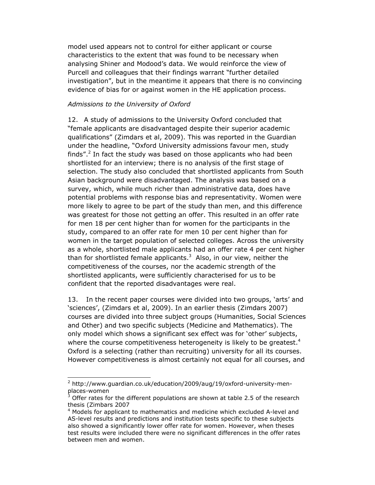model used appears not to control for either applicant or course characteristics to the extent that was found to be necessary when analysing Shiner and Modood's data. We would reinforce the view of Purcell and colleagues that their findings warrant "further detailed investigation", but in the meantime it appears that there is no convincing evidence of bias for or against women in the HE application process.

#### *Admissions to the University of Oxford*

12. A study of admissions to the University Oxford concluded that "female applicants are disadvantaged despite their superior academic qualifications" (Zimdars et al, 2009). This was reported in the Guardian under the headline, "Oxford University admissions favour men, study finds".<sup>2</sup> In fact the study was based on those applicants who had been shortlisted for an interview; there is no analysis of the first stage of selection. The study also concluded that shortlisted applicants from South Asian background were disadvantaged. The analysis was based on a survey, which, while much richer than administrative data, does have potential problems with response bias and representativity. Women were more likely to agree to be part of the study than men, and this difference was greatest for those not getting an offer. This resulted in an offer rate for men 18 per cent higher than for women for the participants in the study, compared to an offer rate for men 10 per cent higher than for women in the target population of selected colleges. Across the university as a whole, shortlisted male applicants had an offer rate 4 per cent higher than for shortlisted female applicants.<sup>3</sup> Also, in our view, neither the competitiveness of the courses, nor the academic strength of the shortlisted applicants, were sufficiently characterised for us to be confident that the reported disadvantages were real.

13. In the recent paper courses were divided into two groups, 'arts' and 'sciences', (Zimdars et al, 2009). In an earlier thesis (Zimdars 2007) courses are divided into three subject groups (Humanities, Social Sciences and Other) and two specific subjects (Medicine and Mathematics). The only model which shows a significant sex effect was for 'other' subjects, where the course competitiveness heterogeneity is likely to be greatest.<sup>4</sup> Oxford is a selecting (rather than recruiting) university for all its courses. However competitiveness is almost certainly not equal for all courses, and

L

<sup>&</sup>lt;sup>2</sup> http://www.guardian.co.uk/education/2009/aug/19/oxford-university-menplaces-women<br><sup>3</sup> Offer rates fo

Offer rates for the different populations are shown at table 2.5 of the research thesis (Zimbars 2007

<sup>&</sup>lt;sup>4</sup> Models for applicant to mathematics and medicine which excluded A-level and AS-level results and predictions and institution tests specific to these subjects also showed a significantly lower offer rate for women. However, when theses test results were included there were no significant differences in the offer rates between men and women.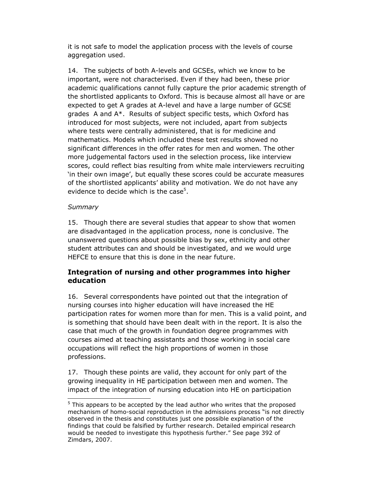it is not safe to model the application process with the levels of course aggregation used.

14. The subjects of both A-levels and GCSEs, which we know to be important, were not characterised. Even if they had been, these prior academic qualifications cannot fully capture the prior academic strength of the shortlisted applicants to Oxford. This is because almost all have or are expected to get A grades at A-level and have a large number of GCSE grades A and A\*. Results of subject specific tests, which Oxford has introduced for most subjects, were not included, apart from subjects where tests were centrally administered, that is for medicine and mathematics. Models which included these test results showed no significant differences in the offer rates for men and women. The other more judgemental factors used in the selection process, like interview scores, could reflect bias resulting from white male interviewers recruiting 'in their own image', but equally these scores could be accurate measures of the shortlisted applicants' ability and motivation. We do not have any evidence to decide which is the case<sup>5</sup>.

## *Summary*

15. Though there are several studies that appear to show that women are disadvantaged in the application process, none is conclusive. The unanswered questions about possible bias by sex, ethnicity and other student attributes can and should be investigated, and we would urge HEFCE to ensure that this is done in the near future.

# **Integration of nursing and other programmes into higher education**

16. Several correspondents have pointed out that the integration of nursing courses into higher education will have increased the HE participation rates for women more than for men. This is a valid point, and is something that should have been dealt with in the report. It is also the case that much of the growth in foundation degree programmes with courses aimed at teaching assistants and those working in social care occupations will reflect the high proportions of women in those professions.

17. Though these points are valid, they account for only part of the growing inequality in HE participation between men and women. The impact of the integration of nursing education into HE on participation l

<sup>&</sup>lt;sup>5</sup> This appears to be accepted by the lead author who writes that the proposed mechanism of homo-social reproduction in the admissions process "is not directly observed in the thesis and constitutes just one possible explanation of the findings that could be falsified by further research. Detailed empirical research would be needed to investigate this hypothesis further." See page 392 of Zimdars, 2007.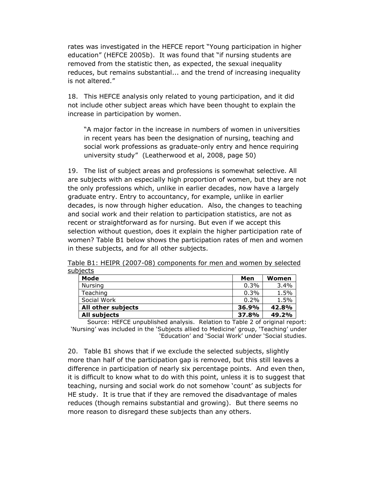rates was investigated in the HEFCE report "Young participation in higher education" (HEFCE 2005b). It was found that "if nursing students are removed from the statistic then, as expected, the sexual inequality reduces, but remains substantial... and the trend of increasing inequality is not altered."

18. This HEFCE analysis only related to young participation, and it did not include other subject areas which have been thought to explain the increase in participation by women.

"A major factor in the increase in numbers of women in universities in recent years has been the designation of nursing, teaching and social work professions as graduate-only entry and hence requiring university study" (Leatherwood et al, 2008, page 50)

19. The list of subject areas and professions is somewhat selective. All are subjects with an especially high proportion of women, but they are not the only professions which, unlike in earlier decades, now have a largely graduate entry. Entry to accountancy, for example, unlike in earlier decades, is now through higher education. Also, the changes to teaching and social work and their relation to participation statistics, are not as recent or straightforward as for nursing. But even if we accept this selection without question, does it explain the higher participation rate of women? Table B1 below shows the participation rates of men and women in these subjects, and for all other subjects.

Table B1: HEIPR (2007-08) components for men and women by selected subjects

| Mode               | Men     | Women |
|--------------------|---------|-------|
| Nursing            | $0.3\%$ | 3.4%  |
| Teaching           | 0.3%    | 1.5%  |
| Social Work        | $0.2\%$ | 1.5%  |
| All other subjects | 36.9%   | 42.8% |
| All subjects       | 37.8%   | 49.2% |

Source: HEFCE unpublished analysis. Relation to Table 2 of original report: 'Nursing' was included in the 'Subjects allied to Medicine' group, 'Teaching' under 'Education' and 'Social Work' under 'Social studies.

20. Table B1 shows that if we exclude the selected subjects, slightly more than half of the participation gap is removed, but this still leaves a difference in participation of nearly six percentage points. And even then, it is difficult to know what to do with this point, unless it is to suggest that teaching, nursing and social work do not somehow 'count' as subjects for HE study. It is true that if they are removed the disadvantage of males reduces (though remains substantial and growing). But there seems no more reason to disregard these subjects than any others.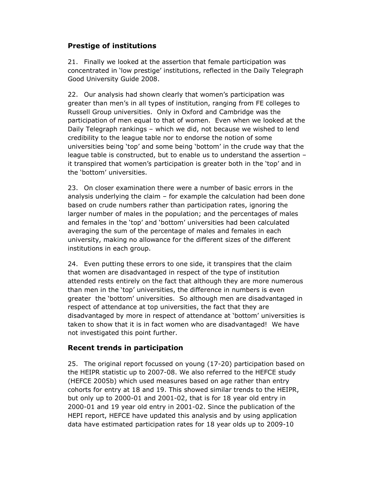# **Prestige of institutions**

21. Finally we looked at the assertion that female participation was concentrated in 'low prestige' institutions, reflected in the Daily Telegraph Good University Guide 2008.

22. Our analysis had shown clearly that women's participation was greater than men's in all types of institution, ranging from FE colleges to Russell Group universities. Only in Oxford and Cambridge was the participation of men equal to that of women. Even when we looked at the Daily Telegraph rankings – which we did, not because we wished to lend credibility to the league table nor to endorse the notion of some universities being 'top' and some being 'bottom' in the crude way that the league table is constructed, but to enable us to understand the assertion – it transpired that women's participation is greater both in the 'top' and in the 'bottom' universities.

23. On closer examination there were a number of basic errors in the analysis underlying the claim – for example the calculation had been done based on crude numbers rather than participation rates, ignoring the larger number of males in the population; and the percentages of males and females in the 'top' and 'bottom' universities had been calculated averaging the sum of the percentage of males and females in each university, making no allowance for the different sizes of the different institutions in each group.

24. Even putting these errors to one side, it transpires that the claim that women are disadvantaged in respect of the type of institution attended rests entirely on the fact that although they are more numerous than men in the 'top' universities, the difference in numbers is even greater the 'bottom' universities. So although men are disadvantaged in respect of attendance at top universities, the fact that they are disadvantaged by more in respect of attendance at 'bottom' universities is taken to show that it is in fact women who are disadvantaged! We have not investigated this point further.

# **Recent trends in participation**

25. The original report focussed on young (17-20) participation based on the HEIPR statistic up to 2007-08. We also referred to the HEFCE study (HEFCE 2005b) which used measures based on age rather than entry cohorts for entry at 18 and 19. This showed similar trends to the HEIPR, but only up to 2000-01 and 2001-02, that is for 18 year old entry in 2000-01 and 19 year old entry in 2001-02. Since the publication of the HEPI report, HEFCE have updated this analysis and by using application data have estimated participation rates for 18 year olds up to 2009-10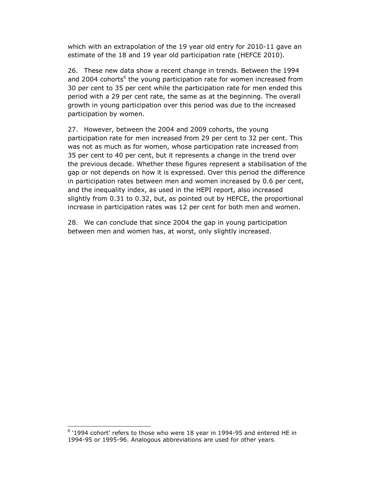which with an extrapolation of the 19 year old entry for 2010-11 gave an estimate of the 18 and 19 year old participation rate (HEFCE 2010).

26. These new data show a recent change in trends. Between the 1994 and 2004 cohorts<sup>6</sup> the young participation rate for women increased from 30 per cent to 35 per cent while the participation rate for men ended this period with a 29 per cent rate, the same as at the beginning. The overall growth in young participation over this period was due to the increased participation by women.

27. However, between the 2004 and 2009 cohorts, the young participation rate for men increased from 29 per cent to 32 per cent. This was not as much as for women, whose participation rate increased from 35 per cent to 40 per cent, but it represents a change in the trend over the previous decade. Whether these figures represent a stabilisation of the gap or not depends on how it is expressed. Over this period the difference in participation rates between men and women increased by 0.6 per cent, and the inequality index, as used in the HEPI report, also increased slightly from 0.31 to 0.32, but, as pointed out by HEFCE, the proportional increase in participation rates was 12 per cent for both men and women.

28. We can conclude that since 2004 the gap in young participation between men and women has, at worst, only slightly increased.

 $\overline{a}$ 

 $<sup>6</sup>$  '1994 cohort' refers to those who were 18 year in 1994-95 and entered HE in</sup> 1994-95 or 1995-96. Analogous abbreviations are used for other years.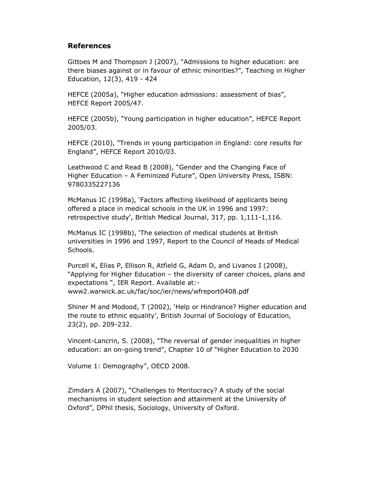## **References**

Gittoes M and Thompson J (2007), "Admissions to higher education: are there biases against or in favour of ethnic minorities?", Teaching in Higher Education, 12(3), 419 - 424

HEFCE (2005a), "Higher education admissions: assessment of bias", HEFCE Report 2005/47.

HEFCE (2005b), "Young participation in higher education", HEFCE Report 2005/03.

HEFCE (2010), "Trends in young participation in England: core results for England", HEFCE Report 2010/03.

Leathwood C and Read B (2008), "Gender and the Changing Face of Higher Education – A Feminized Future", Open University Press, ISBN: 9780335227136

McManus IC (1998a), 'Factors affecting likelihood of applicants being offered a place in medical schools in the UK in 1996 and 1997: retrospective study', British Medical Journal, 317, pp. 1,111-1,116.

McManus IC (1998b), 'The selection of medical students at British universities in 1996 and 1997, Report to the Council of Heads of Medical Schools.

Purcell K, Elias P, Ellison R, Atfield G, Adam D, and Livanos I (2008), "Applying for Higher Education – the diversity of career choices, plans and expectations ", IER Report. Available at: www2.warwick.ac.uk/fac/soc/ier/news/wfreport0408.pdf

Shiner M and Modood, T (2002), 'Help or Hindrance? Higher education and the route to ethnic equality', British Journal of Sociology of Education, 23(2), pp. 209-232.

Vincent-Lancrin, S. (2008), "The reversal of gender inequalities in higher education: an on-going trend", Chapter 10 of "Higher Education to 2030

Volume 1: Demography", OECD 2008.

Zimdars A (2007), "Challenges to Meritocracy? A study of the social mechanisms in student selection and attainment at the University of Oxford", DPhil thesis, Sociology, University of Oxford.